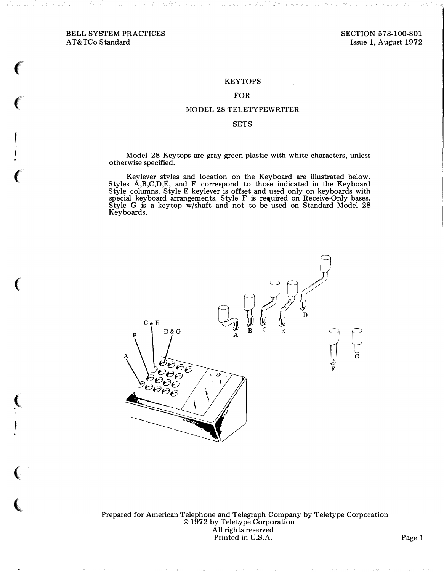### BELL SYSTEM PRACTICES AT&TCo Standard

 $\epsilon$ 

 $\big($ 

 $\epsilon$ 

 $\big($ 

 $\left($ 

 $\big($ 

 $\overline{\mathbf{C}}$ 

#### **KEYTOPS**

#### FOR

#### MODEL 28 TELETYPEWRITER

#### SETS

Model 28 Keytops are gray green plastic with white characters, unless otherwise specified.

Keylever styles and location on the Keyboard are illustrated below. Styles A,B,C,D,E, and F correspond to those indicated in the Keyboard Style columns. Style E keylever is offset and used only on keyboards with special keyboard arrangements. Style F is required on Receive-Only bases. Style G is a keytop w/shaft and not to be used on Standard Model 28 Keyboards.



Prepared for American Telephone and Telegraph Company by Teletype Corporation © 1972 by Teletype Corporation All rights reserved Printed in U.S.A. Page 1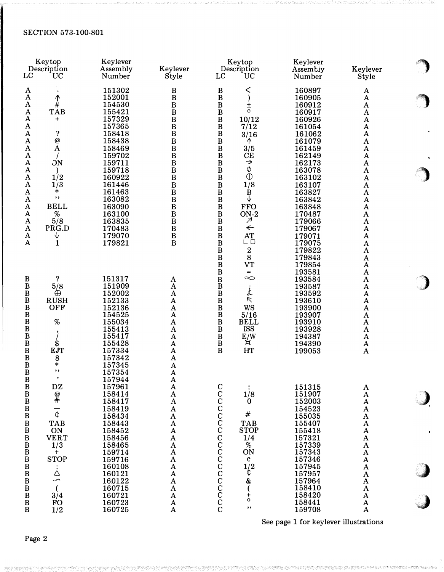| LC                                                                                                                                                               | Keytop<br>Description<br><b>UC</b>                                                                                        | Keylever<br>Assembly<br>Number                                                                                       | Keylever<br>Style                                                                                                                                                                                               | Keytop<br>Description<br>LC<br>UC                                                                                                                                                                                                                                  | Keylever<br>Assembiy<br>Number                                                                             | Keylever<br>Style                                                                                                                   |  |
|------------------------------------------------------------------------------------------------------------------------------------------------------------------|---------------------------------------------------------------------------------------------------------------------------|----------------------------------------------------------------------------------------------------------------------|-----------------------------------------------------------------------------------------------------------------------------------------------------------------------------------------------------------------|--------------------------------------------------------------------------------------------------------------------------------------------------------------------------------------------------------------------------------------------------------------------|------------------------------------------------------------------------------------------------------------|-------------------------------------------------------------------------------------------------------------------------------------|--|
| A<br>A<br>$\mathbf A$<br>$\mathbf A$<br>$\mathbf A$<br>$\mathbf A$                                                                                               | $\biguparrow \#$<br><b>TAB</b><br>$\ddot{}$                                                                               | 151302<br>152001<br>154530<br>155421<br>157329<br>157365                                                             | B<br>$\, {\bf B}$<br>$\, {\bf B}$<br>$\, {\bf B}$<br>$\, {\bf B}$<br>$\, {\bf B}$                                                                                                                               | $\, {\bf B}$<br>く<br>$\bf{B}$<br>$\mathcal{E}$<br>$\mathbf{B}$<br>$\mathbf{B}$<br>Ŧ<br>$\circ$<br>10/12<br>$\, {\bf B}$<br>7/12                                                                                                                                    | 160897<br>160905<br>160912<br>160917<br>160926<br>161054                                                   | A<br>$\mathbf A$<br>A<br>A<br>A<br>A                                                                                                |  |
| $\mathbf A$<br>$\mathbf A$<br>$\mathbf A$<br>$\mathbf A$<br>$\mathbf A$<br>$\mathbf A$<br>A<br>$\mathbf A$<br>$\bf A$<br>$\mathbf A$<br>A                        | ?<br>$\boldsymbol{Q}$<br>$\mathbf A$<br>$\overline{ON}$<br>1/2<br>1/3<br>*<br>$, \,$<br><b>BELL</b>                       | 158418<br>158438<br>158469<br>159702<br>159711<br>159718<br>160922<br>161446<br>161463<br>163082<br>163090           | $\, {\bf B}$<br>$\, {\bf B}$<br>$\bf{B}$<br>$\, {\bf B}$<br>$\, {\bf B}$<br>$\, {\bf B}$<br>$\, {\bf B}$<br>$\bf{B}$<br>B<br>B<br>$\bf{B}$                                                                      | $\frac{B}{B}$<br>3/16<br>↑<br>$\, {\bf B}$<br>3/5<br>$\bf{B}$<br>CE<br>$\, {\bf B}$<br>$\rightarrow$<br>$\varnothing$<br>$\frac{B}{B}$<br>$\mathbb{O}$<br>$\bf{B}$<br>1/8<br>$\, {\bf B}$<br>$\bf{B}$<br>$\mathbf{B}$<br>$\mathbf{B}$<br>↓<br><b>FFO</b>           | 161062<br>161079<br>161459<br>162149<br>162173<br>163078<br>163102<br>163107<br>163827<br>163842<br>163848 | A<br>$\boldsymbol{\rm{A}}$<br>$\mathbf A$<br>$\mathbf A$<br>A<br>$\mathbf A$<br>$\mathbf A$<br>A<br>$\mathbf A$<br>$\mathbf A$<br>A |  |
| $\mathbf A$<br>A<br>A<br>A<br>$\mathbf A$                                                                                                                        | $\%$<br>5/8<br>PRG.D<br>↓<br>1                                                                                            | 163100<br>163835<br>170483<br>179070<br>179821                                                                       | $\bar{B}$<br>B<br>$\bf{B}$<br>$\, {\bf B}$<br>$\bf{B}$                                                                                                                                                          | $\bar{B}$<br>$ON-2$<br>$\, {\bf B}$<br>$\boldsymbol{\mathcal{A}}$<br>$\, {\bf B}$<br>$\leftarrow$<br>$\, {\bf B}$<br>AT<br>$\bar{\mathbf{B}}$<br>ட ப<br>$\bar{B}$<br>$B$<br>$\begin{array}{c} 2 \\ 8 \end{array}$<br>$\bar{B}$<br><b>VT</b><br>$\, {\bf B}$<br>$=$ | 170487<br>179066<br>179067<br>179071<br>179075<br>179822<br>179843<br>179854<br>193581                     | A<br>$\bf A$<br>A<br>$\mathbf A$<br>$\bf A$<br>A<br>$\mathbf A$<br>A<br>$\mathbf A$                                                 |  |
| B<br>$\, {\bf B}$<br>$\, {\bf B}$<br>$\, {\bf B}$<br>$\bf{B}$<br>B<br>$\bf{B}$<br>$\mathbf{B}$<br>$\, {\bf B}$<br>$\, {\bf B}$<br>B                              | ?<br>5/8<br>$\oplus$<br><b>RUSH</b><br>OFF<br>$\%$<br>,<br>\$<br><b>EJT</b><br>8                                          | 151317<br>151909<br>152002<br>152133<br>152136<br>154525<br>155034<br>155413<br>155417<br>155428<br>157334<br>157342 | A<br>$\bf A$<br>$\mathbf A$<br>A<br>$\bf A$<br>A<br>$\mathbf A$<br>$\bf A$<br>$\mathbf A$<br>$\mathbf A$<br>A<br>A                                                                                              | B<br>B<br>B<br>B<br>$\infty$<br>$\dot{\dot{t}}$<br>$\triangledown$<br>$\, {\bf B}$<br>WS<br>$\mathbf{B}$<br>5/16<br><b>BELL</b><br>$\, {\bf B}$<br><b>ISS</b><br>$\, {\bf B}$<br>E/W<br>$\, {\bf B}$<br>ਸ<br>HT<br>$\bf{B}$                                        | 193584<br>193587<br>193592<br>193610<br>193900<br>193907<br>193910<br>193928<br>194387<br>194390<br>199053 | A<br>A<br>A<br>$\mathbf A$<br>$\bf A$<br>A<br>A<br>A<br>A<br>A<br>A                                                                 |  |
| $\bf{B}$<br>$\bf{B}$<br>B<br>$\begin{array}{c}\nB \\ B\n\end{array}$<br>$\, {\bf B}$<br>$\, {\bf B}$<br>$\, {\bf B}$<br>$\, {\bf B}$<br>$\, {\bf B}$<br>$\bf{B}$ | $\ast$<br>, ,<br>$\mathbf{D}\mathbf{Z}$<br>$@{0}\\*$<br>$\overline{\mathbf{t}}$<br><b>TAB</b><br>ON<br><b>VERT</b><br>1/3 | 157345<br>157354<br>157944<br>157961<br>158414<br>158417<br>158419<br>158434<br>158443<br>158452<br>158456<br>158465 | A<br>$\mathbf A$<br>A<br>$\boldsymbol{\rm{A}}$<br>$\boldsymbol{\rm{A}}$<br>$\boldsymbol{\rm{A}}$<br>$\boldsymbol{\rm{A}}$<br>$\mathbf A$<br>${\bf A}$<br>${\bf A}$<br>$\boldsymbol{A}$<br>$\boldsymbol{\rm{A}}$ | CCCCCCCCCCCCCCCCCCCC<br>1/8<br>$\bf{0}$<br>$\#$<br><b>TAB</b><br><b>STOP</b><br>1/4<br>$\dot{\mathscr{A}}$                                                                                                                                                         | 151315<br>151907<br>152003<br>154523<br>155035<br>155407<br>155418<br>157321<br>157339                     | A<br>$\mathbf A$<br>A<br>$\mathbf A$<br>A<br>A<br>A<br>$\mathbf A$<br>A                                                             |  |
| $\, {\bf B}$<br>$\, {\bf B}$<br>$\bf{B}$<br>$\, {\bf B}$<br>$\, {\bf B}$<br>$_{\rm B}^{\rm B}$<br>$\bf{B}$<br>$\bf{B}$                                           | $\mathbf +$<br><b>STOP</b><br>ڎ<br>حب<br>3/4<br><b>FO</b><br>1/2                                                          | 159714<br>159716<br>160108<br>160121<br>160122<br>160715<br>160721<br>160723<br>160725                               | A<br>$\boldsymbol{A}$<br>${\bf A}$<br>A<br>$\mathbf A$<br>${\bf A}$<br>$\mathbf A$<br>$\mathbf A$<br>$\mathbf A$                                                                                                | ON<br>$\mathbf c$<br>1/2<br>¢<br>&<br>$\frac{1}{\circ}$<br>$, \,$                                                                                                                                                                                                  | 157343<br>157346<br>157945<br>157957<br>157964<br>158410<br>158420<br>158441<br>159708                     | $\mathbf A$<br>$\mathbf A$<br>$\mathbf A$<br>$\mathbf A$<br>$\mathbf A$<br>$\mathbf A$<br>${\bf A}$<br>$\mathbf A$<br>A             |  |

See page 1 for keylever illustrations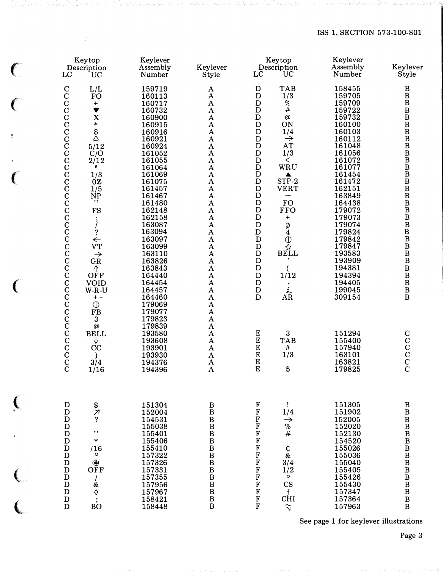| LC                                                                                                                                                                                                                                                                                                                           | Keytop<br>Description<br>UC                                                                                                                                                                                                                                                                                                                                                          | Keylever<br>Assembly<br>Number                                                                                                                                                                                                                                                                                                         | Keylever<br>Style                                                                                                                                                                                                                                                                                                                                                                                                                                                                                                                     | LC                                                                                                                                                                                                                                                                                                                                                                                                                                       | Keytop<br>Description<br><b>UC</b>                                                                                                                                                                                                                                                                                                      | Keylever<br>Assembly<br>Number                                                                                                                                                                                                                                                                           | Keylever<br>Style                                                                                                                                                                                                                                                                                                                                                                                                                                                    |
|------------------------------------------------------------------------------------------------------------------------------------------------------------------------------------------------------------------------------------------------------------------------------------------------------------------------------|--------------------------------------------------------------------------------------------------------------------------------------------------------------------------------------------------------------------------------------------------------------------------------------------------------------------------------------------------------------------------------------|----------------------------------------------------------------------------------------------------------------------------------------------------------------------------------------------------------------------------------------------------------------------------------------------------------------------------------------|---------------------------------------------------------------------------------------------------------------------------------------------------------------------------------------------------------------------------------------------------------------------------------------------------------------------------------------------------------------------------------------------------------------------------------------------------------------------------------------------------------------------------------------|------------------------------------------------------------------------------------------------------------------------------------------------------------------------------------------------------------------------------------------------------------------------------------------------------------------------------------------------------------------------------------------------------------------------------------------|-----------------------------------------------------------------------------------------------------------------------------------------------------------------------------------------------------------------------------------------------------------------------------------------------------------------------------------------|----------------------------------------------------------------------------------------------------------------------------------------------------------------------------------------------------------------------------------------------------------------------------------------------------------|----------------------------------------------------------------------------------------------------------------------------------------------------------------------------------------------------------------------------------------------------------------------------------------------------------------------------------------------------------------------------------------------------------------------------------------------------------------------|
| $\mathbf C$<br>$\mathbf C$<br>$\rm \bar{C}$<br>$\rm \bar{C}$<br>$\mathbf C$<br>$\mathbf C$<br>$\tilde{C}$<br>$\rm \bar{C}$<br>$\tilde{\mathbf{C}}$<br>$\rm\frac{C}{C}$<br>$\rm\frac{C}{C}$<br>$\mathbf C$<br>$\rm \bar{C}$<br>CCCCCCCCC<br>$\mathbf C$<br>$\rm\frac{C}{C}$<br>$\mathbf C$<br>$\rm\frac{C}{C}$<br>$\mathbf C$ | L/L<br><b>FO</b><br>$\begin{array}{c} + \end{array}$<br>$\blacktriangledown$<br>X<br>$\ast$<br>$\mathcal{L}^*$<br>5/12<br>$\dot{C}/O$<br>2/12<br>,<br>1/3<br>0Z<br>1/5<br>NP<br>, ,<br>FS<br>$\ddot{\phantom{0}},$<br>$\frac{1}{2}$<br>$\overleftarrow{\text{vT}}$<br>$\rightarrow$<br>GR<br>$\mathop{\rm{OFF}}$<br><b>VOID</b><br>$W-R-U$<br>$+ -$<br>$\mathbb O$<br><b>FB</b><br>3 | 159719<br>160113<br>160717<br>160732<br>160900<br>160915<br>160916<br>160921<br>160924<br>161052<br>161055<br>161064<br>161069<br>161075<br>161457<br>161467<br>161480<br>162148<br>162158<br>163087<br>163094<br>163097<br>163099<br>163110<br>163826<br>163843<br>164440<br>164454<br>164457<br>164460<br>179069<br>179077<br>179823 | A<br>$\mathbf{A}$<br>${\bf A}$<br>$\mathbf A$<br>$\mathbf A$<br>$\mathbf A$<br>$\mathbf A$<br>$\mathbf A$<br>$\mathbf A$<br>$\mathbf A$<br>$\mathbf A$<br>$\mathbf A$<br>$\mathbf A$<br>$\mathbf A$<br>$\mathbf A$<br>$\mathbf A$<br>$\mathbf A$<br>$\mathbf A$<br>$\boldsymbol{\rm{A}}$<br>$\overline{A}$<br>$\bf A$<br>$\bf A$<br>$\overline{A}$<br>$\bf A$<br>$\boldsymbol{\rm{A}}$<br>$\overline{A}$<br>$\mathbf A$<br>$\mathbf A$<br>$\boldsymbol{\rm{A}}$<br>$\mathbf A$<br>$\mathbf A$<br>$\boldsymbol{\rm{A}}$<br>$\mathbf A$ | $\mathbf D$<br>$\mathbf D$<br>$\mathbf D$<br>$\mathbf D$<br>$\mathbf D$<br>$\mathbf D$<br>$\mathbf D$<br>$\mathbf D$<br>D<br>$\mathbf D$<br>$\mathbf D$<br>$\mathbf D$<br>D<br>$\mathbf D$<br>$\mathbf D$<br>$\mathbf D$<br>$\mathbf D$<br>$\mathbf D$<br>$\mathbf D$<br>$\mathbf D$<br>${\bf D}$<br>$\mathbf D$<br>$\mathbf D$<br>$\mathbf D$<br>$\mathbf D$<br>$\mathbf D$<br>$\mathbf D$<br>$\mathbf D$<br>$\mathbf D$<br>$\mathbf D$ | <b>TAB</b><br>1/3<br>$\%$<br>$\ddot{+}$<br>@<br>ON<br>1/4<br>$\rightarrow$<br>AT<br>1/3<br>$\lt$<br>WRU<br>▲<br>STP-2<br><b>VERT</b><br><b>FO</b><br><b>FFO</b><br>$\ddot{}$<br>Ø<br>$\mathbf{4}$<br>$\mathop{\oplus}\limits^{\bar{\mathbb{Q}}} _{\mathbf{BELL}}$<br>1/12<br>$\blacktriangleright$<br>$\mathop{\mathrm{dR}}^\mathbf{f}$ | 158455<br>159705<br>159709<br>159722<br>159732<br>160100<br>160103<br>160112<br>161048<br>161056<br>161072<br>161077<br>161454<br>161472<br>162151<br>163849<br>164438<br>179072<br>179073<br>179074<br>179824<br>179842<br>179847<br>193583<br>193909<br>194381<br>194394<br>194405<br>199045<br>309154 | B<br>$\, {\bf B}$<br>$\, {\bf B}$<br>$\, {\bf B}$<br>$\, {\bf B}$<br>$\, {\bf B}$<br>$_{\rm B}^{\rm B}$<br>$\, {\bf B}$<br>$\, {\bf B}$<br>$\bar{B}$<br>$\, {\bf B}$<br>$\, {\bf B}$<br>$\, {\bf B}$<br>$\, {\bf B}$<br>$\, {\bf B}$<br>$\, {\bf B}$<br>$\, {\bf B}$<br>$\, {\bf B}$<br>$\, {\bf B}$<br>$\, {\bf B}$<br>$\, {\bf B}$<br>$\, {\bf B}$<br>$\, {\bf B}$<br>$\, {\bf B}$<br>$\, {\bf B}$<br>$\, {\bf B}$<br>$\, {\bf B}$<br>$\, {\bf B}$<br>$\, {\bf B}$ |
| $\rm\frac{C}{C}$<br>$\mathbf C$<br>$\rm\frac{C}{C}$<br>$\frac{C}{C}$                                                                                                                                                                                                                                                         | $^\text{\textregistered}$<br><b>BELL</b><br>V<br>CC<br>3/4<br>1/16                                                                                                                                                                                                                                                                                                                   | 179839<br>193580<br>193608<br>193901<br>193930<br>194376<br>194396                                                                                                                                                                                                                                                                     | $\bf A$<br>$\bf A$<br>$\bf A$<br>$\mathbf A$<br>$\mathbf A$<br>$\mathbf A$<br>$\mathbf A$                                                                                                                                                                                                                                                                                                                                                                                                                                             | E<br>EEEE<br>$\overline{E}$                                                                                                                                                                                                                                                                                                                                                                                                              | 3<br><b>TAB</b><br>$\pmb{\#}$<br>1/3<br>5                                                                                                                                                                                                                                                                                               | 151294<br>155400<br>157940<br>163101<br>163821<br>179825                                                                                                                                                                                                                                                 | $\mathbf C$<br>$\begin{smallmatrix}&&&\C&C&C\C&C&C\end{smallmatrix}$                                                                                                                                                                                                                                                                                                                                                                                                 |
| D<br>$\mathbf D$<br>${\bf D}$<br>D<br>$\mathbf D$<br>$\mathbf D$<br>$\mathbf D$<br>$\mathbf D$<br>$\mathbf D$<br>$\mathbf D$<br>$\mathbf D$<br>$\mathbf D$<br>$\mathbf D$<br>$\mathbf D$<br>D                                                                                                                                | $\frac{1}{2}$<br>$, \,$<br>$\ast$<br>/16<br>o<br>咯<br>OFF<br>&<br>$\Diamond$<br>$\dot{BO}$                                                                                                                                                                                                                                                                                           | 151304<br>152004<br>154531<br>155038<br>155401<br>155406<br>155410<br>157322<br>157326<br>157331<br>157355<br>157956<br>157967<br>158421<br>158448                                                                                                                                                                                     | $\mathbf{B}$<br>$\mathbf{B}$<br>$\begin{array}{c} \mathbf{B} \\ \mathbf{B} \\ \mathbf{B} \end{array}$<br>$\mathbf{B}$<br>$\mathbf{B}$<br>$\bf{B}$<br>$\, {\bf B}$<br>$\overline{B}$<br>$\bf{B}$<br>$\bf{B}$<br>B                                                                                                                                                                                                                                                                                                                      | 平平平平平平平平平<br>F<br>F<br>F<br>F<br>$\mathbf F$<br>F                                                                                                                                                                                                                                                                                                                                                                                        | Ţ<br>1/4<br>$\rightarrow$<br>$% \mathcal{P}_{\mathrm{C}}\left( \mathcal{P}_{\mathrm{C}}\right)$<br>$\#$<br>$\overset{\uparrow}{\mathcal{E}}$<br>3/4<br>1/2<br>$\circ$<br>$\mathbf{CS}$<br>f<br><b>CHI</b><br>$\widetilde{\text{N}}$                                                                                                     | 151305<br>151902<br>152005<br>152020<br>152130<br>154520<br>155026<br>155036<br>155040<br>155405<br>155426<br>155430<br>157347<br>157364<br>157963                                                                                                                                                       | $\, {\bf B}$<br>$\, {\bf B}$<br>$\overline{B}$<br>$\frac{\text{B}}{\text{B}}$<br>$\bf{B}$<br>$\, {\bf B}$<br>$\overline{B}$<br>$\, {\bf B}$<br>$\, {\bf B}$<br>$\, {\bf B}$<br>$\, {\bf B}$<br>$\, {\bf B}$<br>$\overline{B}$                                                                                                                                                                                                                                        |

 $\frac{1}{2}$ 

 $\big($ 

 $\overline{C}$ 

 $\frac{1}{2}$ 

 $\ddot{\bullet}$ 

 $\big($ 

 $\big($ 

 $\big($ 

 $\overline{C}$ 

 $\overline{\mathbf{C}}$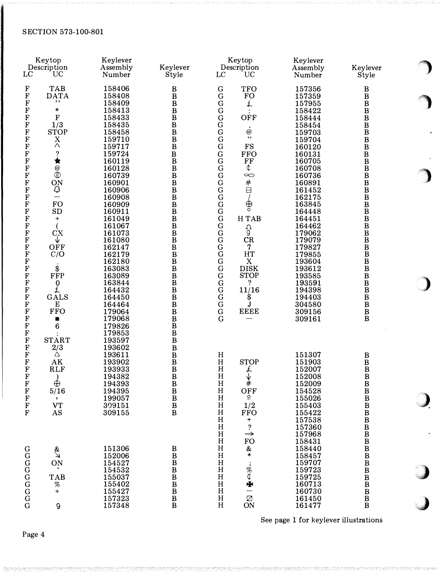| LC                                                                                                                                                                                                                                                                                                                        | Keytop<br>Description<br>UC                                                                                                                                                                                                                                                                  | Keylever<br>Assembly<br>Number                                                                                                                                                                                                                         | Keylever<br>Style                                                                                                                                                                                                                                                                                     | Keytop<br>Description<br>LC<br>UC                                                                                                                                                                                                                                                                                                                                                                                                                                                                              | Keylever<br>Assembly<br>Number                                                                                                                                                                                                                         | Keylever<br>Style                                                                                                                                                                                                                                                                             |
|---------------------------------------------------------------------------------------------------------------------------------------------------------------------------------------------------------------------------------------------------------------------------------------------------------------------------|----------------------------------------------------------------------------------------------------------------------------------------------------------------------------------------------------------------------------------------------------------------------------------------------|--------------------------------------------------------------------------------------------------------------------------------------------------------------------------------------------------------------------------------------------------------|-------------------------------------------------------------------------------------------------------------------------------------------------------------------------------------------------------------------------------------------------------------------------------------------------------|----------------------------------------------------------------------------------------------------------------------------------------------------------------------------------------------------------------------------------------------------------------------------------------------------------------------------------------------------------------------------------------------------------------------------------------------------------------------------------------------------------------|--------------------------------------------------------------------------------------------------------------------------------------------------------------------------------------------------------------------------------------------------------|-----------------------------------------------------------------------------------------------------------------------------------------------------------------------------------------------------------------------------------------------------------------------------------------------|
| $\mathbf F$<br>$\mathbf F$<br>F<br>$\bf F$<br>$\bf F$<br>F<br>$\mathbf F$<br>$\mathbf F$<br>F<br>$\mathbf F$<br>$\mathbf F$<br>$\bf F$<br>$\mathbf F$<br>$\mathbf F$<br>$\bf F$<br>$\mathbf F$<br>$\mathbf F$<br>$\mathbf F$<br>$\mathbf F$<br>$\mathbf F$<br>$\bf F$<br>$\bf F$<br>$\mathbf F$<br>$\bf F$<br>$\mathbf F$ | <b>TAB</b><br><b>DATA</b><br>, ,<br>$\ast$<br>$\mathbf{F}$<br>1/3<br><b>STOP</b><br>X<br>Λ<br>?<br>★<br>$\overset{\textcircled{\footnotesize{0}}}{\mathbb{D}}$<br>ON<br>$\mathsf Q$<br>$\overline{\phantom{0}}$<br><b>FO</b><br><b>SD</b><br>$\ddot{}$<br>$\overline{CX}$<br>V<br>OFF<br>C/O | 158406<br>158408<br>158409<br>158413<br>158433<br>158435<br>158458<br>159710<br>159717<br>159724<br>160119<br>160128<br>160739<br>160901<br>160906<br>160908<br>160909<br>160911<br>161049<br>161067<br>161073<br>161080<br>162147<br>162179<br>162180 | B<br>$\bf{B}$<br>$\bf{B}$<br>$\bf{B}$<br>$\bf{B}$<br>$\bf{B}$<br>$\bf{B}$<br>$\bf{B}$<br>$\bf{B}$<br>$\bf{B}$<br>$\bf{B}$<br>$\bf{B}$<br>$\bf{B}$<br>$\bf{B}$<br>$\bf{B}$<br>$\bf{B}$<br>$\bf{B}$<br>$\bf{B}$<br>$\bf{B}$<br>$\bf{B}$<br>$\bf{B}$<br>$\bf{B}$<br>$\, {\bf B}$<br>$\bf{B}$<br>$\bf{B}$ | $\mathbf G$<br><b>TFO</b><br>G<br><b>FO</b><br>£<br>G<br>$\mathbf G$<br>G<br>OFF<br>G<br>$\overline{G}$<br>$^{\copyright}$<br>,,<br>$\mathbf G$<br>$\mathbf G$<br>FS<br>$\mathbf G$<br><b>FFO</b><br>$\mathbf G$<br>FF<br>¢<br>G<br>$\overline{G}$<br>$\infty$<br>${\bf G}$<br>#<br>$\mathbf G$<br>$\Box$<br>$\mathbf G$<br>⊕<br>$\mathbf G$<br>$\mathbf G$<br>$\mathbf G$<br>H TAB<br>${\bf G}$<br>م<br>و<br>$_{\rm G}^{\rm G}$<br>CR<br>$\tilde{G}$<br>$\overline{7}$<br>$\mathbf G$<br>HT<br>${\bf G}$<br>X | 157356<br>157359<br>157955<br>158422<br>158444<br>158454<br>159703<br>159704<br>160120<br>160131<br>160705<br>160708<br>160736<br>160891<br>161452<br>162175<br>163845<br>164448<br>164451<br>164462<br>179062<br>179079<br>179827<br>179855<br>193604 | B<br>$\, {\bf B}$<br>B<br>$\, {\bf B}$<br>B<br>B<br>$\, {\bf B}$<br>B<br>B<br>$\, {\bf B}$<br>$\, {\bf B}$<br>B<br>$\bf{B}$<br>B<br>$\, {\bf B}$<br>$\bf{B}$<br>$\, {\bf B}$<br>B<br>$\, {\bf B}$<br>$\, {\bf B}$<br>$\, {\bf B}$<br>$\, {\bf B}$<br>$\, {\bf B}$<br>$\bf{B}$<br>$\, {\bf B}$ |
| $\mathbf F$<br>$\mathbf F$<br>$\bf F$<br>$\bf F$<br>$\mathbf F$<br>$\mathbf F$<br>$\mathbf F$<br>F<br>$\mathbf F$<br>$\mathbf F$<br>F<br>$\mathbf F$                                                                                                                                                                      | \$<br>FFP<br>$\begin{smallmatrix} 0 \\ \hline \end{smallmatrix}$<br>GALS<br>E<br><b>FFO</b><br>n<br>6<br><b>START</b><br>2/3                                                                                                                                                                 | 163083<br>163089<br>163844<br>164432<br>164450<br>164464<br>179064<br>179068<br>179826<br>179853<br>193597<br>193602                                                                                                                                   | $\bf{B}$<br>$\bf{B}$<br>$\bf{B}$<br>$\bf{B}$<br>$\bf{B}$<br>$\bf{B}$<br>$\bf{B}$<br>$\bf{B}$<br>$\bf{B}$<br>$\bf{B}$<br>$\bf{B}$<br>$\bf{B}$                                                                                                                                                          | <b>DISK</b><br>G<br>$\mathbf G$<br><b>STOP</b><br>$\mathbf G$<br>?<br>G<br>11/16<br>G<br>\$<br>$\overline{G}$<br>J<br><b>EEEE</b><br>$\mathbf G$<br>G                                                                                                                                                                                                                                                                                                                                                          | 193612<br>193585<br>193591<br>194398<br>194403<br>304580<br>309156<br>309161                                                                                                                                                                           | B<br>B<br>B<br>B<br>B<br>$\, {\bf B}$<br>B<br>B                                                                                                                                                                                                                                               |
| $\mathbf F$<br>$\mathbf F$<br>$\mathbf F$<br>$\mathbf F$<br>$\mathbf F$<br>$\mathbf F$<br>$\mathbf F$<br>$\mathbf F$<br>${\bf F}$                                                                                                                                                                                         | Δ<br>AK<br><b>RLF</b><br>$\lambda$<br>$\oplus$<br>5/16<br>$\bullet$<br><b>VT</b><br>AS                                                                                                                                                                                                       | 193611<br>193902<br>193933<br>194382<br>194393<br>194395<br>199057<br>309151<br>309155                                                                                                                                                                 | $\bf{B}$<br>$\bf{B}$<br>$\bf{B}$<br>$\bf{B}$<br>$\bf{B}$<br>$\bar{B}$<br>$\bf{B}$<br>$\bf{B}$<br>$\bf{B}$                                                                                                                                                                                             | $H_{\rm 2}$<br>$\, {\rm H}$<br><b>STOP</b><br>H<br>£<br>$H_{\rm}$<br>$\frac{\sqrt{2}}{4}$<br>$H_{\rm}$<br>H<br>OFF<br>$\overline{\circ}$<br>$H_{\rm}$<br>$H_{\rm}$<br>1/2<br>H<br><b>FFO</b><br>$H_{\rm}$<br>$\, +$<br>$\, {\rm H}$<br>$\ddot{\cdot}$<br>H<br>$\rightarrow$<br>FO<br>$\, {\rm H}$                                                                                                                                                                                                              | 151307<br>151903<br>152007<br>152008<br>152009<br>154528<br>155026<br>155403<br>155422<br>157538<br>157360<br>157968<br>158431                                                                                                                         | B<br>B<br>$\, {\bf B}$<br>$\, {\bf B}$<br>$\mathbf{B}$<br>$\, {\bf B}$<br>$\, {\bf B}$<br>$\, {\bf B}$<br>$\, {\bf B}$<br>$\, {\bf B}$<br>$\, {\bf B}$<br>B                                                                                                                                   |
|                                                                                                                                                                                                                                                                                                                           | s<br>V<br>ON<br><b>TAB</b><br>$\%$<br>$\ddot{}$<br>9                                                                                                                                                                                                                                         | 151306<br>152006<br>154527<br>154532<br>15.5037<br>155402<br>155427<br>157323<br>157348                                                                                                                                                                | B<br>$\bf{B}$<br>$\bf{B}$<br>$\bf{B}$<br>$\bf{B}$<br>$\bf{B}$<br>$\overline{B}$<br>$\, {\bf B}$<br>$\bf{B}$                                                                                                                                                                                           | $\, {\rm H}$<br>$\&$<br>$\ast$<br>$\, {\rm H}$<br>$\, {\rm H}$<br>$\ddot{\hat{z}}$<br>$\rm H$<br>$H_{\rm}$<br>$H_{\rm}$<br>Ф<br>$\, {\rm H}$<br>Ø<br>H<br>H<br>ON                                                                                                                                                                                                                                                                                                                                              | 158440<br>158457<br>159707<br>159723<br>159725<br>160713<br>160730<br>161450<br>161477                                                                                                                                                                 | B<br>$\, {\bf B}$<br>B<br>B<br>B<br>B<br>$\, {\bf B}$<br>$\, {\bf B}$<br>$\bf{B}$                                                                                                                                                                                                             |

See page 1 for keylever illustrations

1

 $\ddot{\phantom{1}}$ 

 $\sim$ 

1

 $\bullet$ 

 $\bigcup$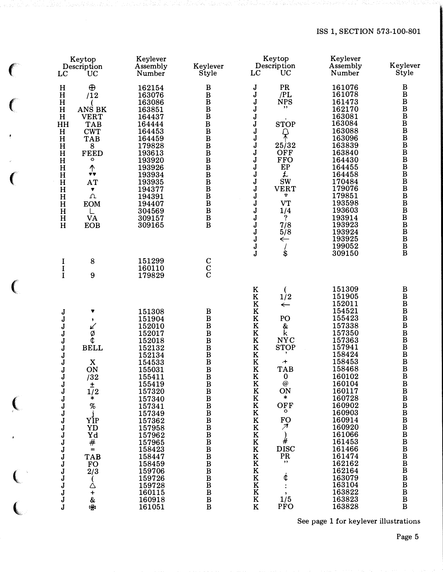## ISS 1, SECTION 573-100-801

|              | LC                                                                                                 | Keytop<br>Description<br>UC                                                                                | Keylever<br>Assembly<br>Number                                                                             | Keylever<br>Style                                                                                                                      | Keytop<br>Description<br><b>UC</b><br>LC                                                                                                                                                                                                                                      | Keylever<br>Assembly<br>Number                                                                                                           | Keylever<br>Style                            |
|--------------|----------------------------------------------------------------------------------------------------|------------------------------------------------------------------------------------------------------------|------------------------------------------------------------------------------------------------------------|----------------------------------------------------------------------------------------------------------------------------------------|-------------------------------------------------------------------------------------------------------------------------------------------------------------------------------------------------------------------------------------------------------------------------------|------------------------------------------------------------------------------------------------------------------------------------------|----------------------------------------------|
|              | H<br>$\mathbf H$<br>$\mathbf H$<br>H<br>H<br>HH<br>H                                               | $\bigoplus$<br>/12<br>ANS BK<br><b>VERT</b><br><b>TAB</b><br><b>CWT</b>                                    | 162154<br>163076<br>163086<br>163851<br>164437<br>164444<br>164453                                         | B<br>$\, {\bf B}$<br>$\, {\bf B}$<br>$\, {\bf B}$<br>B<br>$\bf{B}$                                                                     | PR<br>J<br>/PL<br>J<br>J<br><b>NPS</b><br>,,<br>J<br>J<br>J<br><b>STOP</b><br>J<br>₽                                                                                                                                                                                          | 161076<br>161078<br>161473<br>162170<br>163081<br>163084<br>163088                                                                       | B                                            |
|              | $\, {\bf H}$<br>H<br>$\mathbf H$<br>H<br>$\mathbf H$<br>$\, {\bf H}$<br>$\mathbf H$<br>H<br>H<br>H | <b>TAB</b><br>8<br><b>FEED</b><br>o<br>$\uparrow$<br>AT<br>$\blacktriangledown$<br>$\Lambda$<br><b>EOM</b> | 164459<br>179828<br>193613<br>193920<br>193926<br>193934<br>193935<br>194377<br>194391<br>194407           | $\mathbf{B}$<br>$\mathbf{B}$<br>$\bf{B}$<br>$\, {\bf B}$<br>$\bar{B}$<br>$\bar{B}$<br>$B$<br>$\bar{B}$<br>$\mathbf{B}$<br>$\mathbf{B}$ | J<br>J<br>25/32<br>OFF<br>J<br>J<br><b>FFO</b><br>J<br>EP<br>£<br>J<br>J<br><b>SW</b><br>J<br><b>VERT</b><br>J<br>$\boldsymbol{\nabla}$<br><b>VT</b><br>J                                                                                                                     | 163096<br>163839<br>163840<br>164430<br>164455<br>164458<br>170484<br>179076<br>179851<br>193598                                         | BBBBBBBBBBBBBBBBBBBBBBB                      |
|              | H<br>H<br>$\, {\bf H}$                                                                             | <b>VA</b><br><b>EOB</b>                                                                                    | 304569<br>309157<br>309165                                                                                 | $\bf{B}$<br>$\bf{B}$                                                                                                                   | J<br>1/4<br>$\overline{?}$<br>J<br>7/8<br>J<br>J<br>5/8<br>J<br>$\leftarrow$<br>J<br>J<br>\$                                                                                                                                                                                  | 193603<br>193914<br>193923<br>193924<br>193925<br>199052<br>309150                                                                       |                                              |
|              | $\frac{I}{I}$<br>$\mathbf I$                                                                       | 8<br>9                                                                                                     | 151299<br>160110<br>179829                                                                                 | $\begin{matrix} 0 \\ 0 \\ 0 \end{matrix}$                                                                                              |                                                                                                                                                                                                                                                                               |                                                                                                                                          |                                              |
|              | J<br>J<br>J<br>J<br>J<br>J<br>J<br>J<br>J<br>J<br>J                                                | ▼<br>$\bullet$<br>↙<br>Ø<br>¢<br><b>BELL</b><br>X<br>ON<br>/32<br>Ŧ                                        | 151308<br>151904<br>152010<br>152017<br>152018<br>152132<br>152134<br>154533<br>155031<br>155411<br>155419 | $\, {\bf B}$<br>$\mathbf{B}$<br>$\mathbf{B}$<br>$\bf{B}$<br>$\bar{B}$<br>$\frac{B}{B}$<br>$\bf{B}$<br>$\bf{B}$<br>$\overline{B}$<br>B  | ${\bf K}$<br>1/2<br>$\bf K$<br>$\bf K$<br>$\longleftarrow$<br>$\bf K$<br>$\bf K$<br>PO<br>$\bf K$<br>&<br>k<br>$\bf K$<br>$\bf K$<br><b>NYC</b><br>$\bf K$<br><b>STOP</b><br>$\bf K$<br>$\bf K$<br>$+$<br>$\bf K$<br><b>TAB</b><br>$\mathbf K$<br>0<br>$\bf K$<br>$\circleda$ | 151309<br>151905<br>152011<br>154521<br>155423<br>157338<br>157350<br>157363<br>157941<br>158424<br>158453<br>158468<br>160102<br>160104 | $\, {\bf B}$<br>BBBBBBBBBBBB<br>$\, {\bf B}$ |
| $\big($      | J<br>J<br>J<br>J<br>J<br>J<br>J                                                                    | 1/2<br>$\ast$<br>%<br>i<br>YÌP<br>YD<br>Yd                                                                 | 157320<br>157340<br>157341<br>157349<br>157362<br>157958<br>157962                                         | $\mathbf{B}$<br>$\mathbf{B}$<br><b>BBBBBB</b>                                                                                          | ON<br>$\bf K$<br>$\ast$<br>$\bf K$<br>OFF<br>$\bf K$<br>$\bf K$<br>$\bf K$<br>FO<br>$\overline{\mathcal{A}}$<br>$\bf K$<br>$\bf K$                                                                                                                                            | 160117<br>160728<br>160902<br>160903<br>160914<br>160920<br>161066                                                                       |                                              |
| ŧ<br>$\big($ | J<br>J<br>J<br>J<br>J<br>J                                                                         | $\frac{\#}{=}$<br><b>TAB</b><br><b>FO</b><br>2/3                                                           | 157965<br>158423<br>158447<br>158459<br>159706<br>159726                                                   | <b>BBBBBB</b>                                                                                                                          | #<br>$\bf K$<br><b>DISC</b><br>$\bf K$<br>PR<br>$\bf K$<br>,,<br>$\bf K$<br>$\bf K$<br>$\bf K$<br>¢                                                                                                                                                                           | 161453<br>161466<br>161474<br>162162<br>162164<br>163079                                                                                 | BBBBBBBBBBBBBBBBBB                           |
|              | J<br>J<br>J<br>J                                                                                   | Δ<br>$\ddot{}$<br>&<br>ิ∕ซี                                                                                | 159728<br>160115<br>160918<br>161051                                                                       | $_{\rm B}^{\rm B}$                                                                                                                     | $\bf K$<br>$\bf K$<br>$\bf K$<br>$\frac{1/5}{PFO}$<br>$\bf K$                                                                                                                                                                                                                 | 163104<br>163822<br>163823<br>163828                                                                                                     |                                              |

 $\big($ 

 $\epsilon$ 

 $\big($ 

 $\overline{\mathbf{C}}$ 

 $\overline{\mathbb{C}}$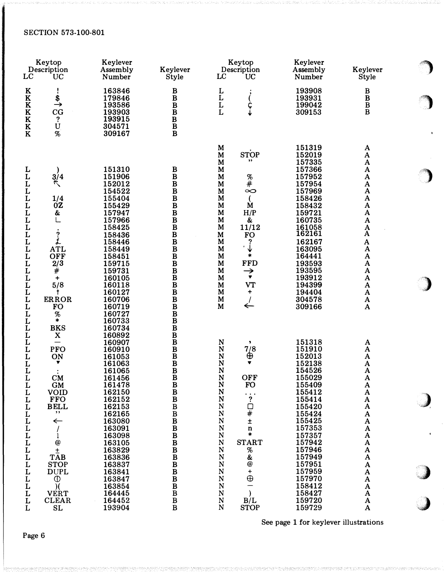| LC                                                                                                                                                                                                      | Keytop<br>Description<br><b>UC</b>                                                                                                                                                                                                            | Keylever<br>Keylever<br>Assembly<br>Number<br><b>Style</b>                                                                                                                                                                                             |                                                                                                                                                                                                                                                                                                                                      | Keytop<br>Description<br>LC<br>UC                                                                                                                                                                                                                                                                                                                                                                   | Keylever<br>Assembly<br>Number                                                                                                                                                                                                               | Keylever<br>Style                                                                                                                                                                                                                               |
|---------------------------------------------------------------------------------------------------------------------------------------------------------------------------------------------------------|-----------------------------------------------------------------------------------------------------------------------------------------------------------------------------------------------------------------------------------------------|--------------------------------------------------------------------------------------------------------------------------------------------------------------------------------------------------------------------------------------------------------|--------------------------------------------------------------------------------------------------------------------------------------------------------------------------------------------------------------------------------------------------------------------------------------------------------------------------------------|-----------------------------------------------------------------------------------------------------------------------------------------------------------------------------------------------------------------------------------------------------------------------------------------------------------------------------------------------------------------------------------------------------|----------------------------------------------------------------------------------------------------------------------------------------------------------------------------------------------------------------------------------------------|-------------------------------------------------------------------------------------------------------------------------------------------------------------------------------------------------------------------------------------------------|
| K<br>$\bf K$<br>$\bf K$<br>$\bf K$<br>$\bf K$<br>$\overline{\textbf{K}}$<br>$\bf K$                                                                                                                     | ï<br>$\stackrel{\$}{\rightarrow}$<br>CG<br>$\ddot{?}$<br>Ù<br>$\%$                                                                                                                                                                            | 163846<br>179846<br>193586<br>193903<br>193915<br>304571<br>309167                                                                                                                                                                                     | B<br>B<br>$\frac{\text{B}}{\text{B}}$<br>$\bar{B}$<br>$B$<br>$\overline{B}$                                                                                                                                                                                                                                                          | L<br>L<br>L<br>ç<br>J                                                                                                                                                                                                                                                                                                                                                                               | 193908<br>193931<br>199042<br>309153                                                                                                                                                                                                         | B<br>$\, {\bf B}$<br>B<br>$\bf{B}$                                                                                                                                                                                                              |
| しししし<br>$\overline{L}$<br>L<br>$\mathbf{L}$<br>L<br>$\mathbf{L}$<br>L<br>$\mathbf L$<br>L<br>L<br>L<br>$\mathbf L$<br>L<br>L<br>L<br>L<br>$\mathbf L$<br>L<br>L                                         | 3/4<br>$\mathcal{L}$<br>1/4<br>0Z<br>&<br>うしん<br><b>ATL</b><br><b>OFF</b><br>2/3<br>$\rlap{/}{\#}$<br>+<br>5/8<br>t<br><b>ERROR</b><br><b>FO</b><br>%<br>*<br><b>BKS</b>                                                                      | 151310<br>151906<br>152012<br>154522<br>155404<br>155429<br>157947<br>157966<br>158425<br>158436<br>158446<br>158449<br>158451<br>159715<br>159731<br>160105<br>160118<br>160127<br>160706<br>160719<br>160727<br>160733<br>160734                     | B<br>$\, {\bf B}$<br>$\, {\bf B}$<br>$\bar{\mathbf{B}}$<br>$\bf{B}$<br>$\bf{B}$<br>$\bf{B}$<br>$\bf{B}$<br>$\bf{B}$<br>$\, {\bf B}$<br>$\, {\bf B}$<br>$\bf{B}$<br>$\, {\bf B}$<br>$\bf{B}$<br>$\mathbf{B}$<br>$\mathbf{B}$<br>$\bf{B}$<br>$\bf{B}$<br>$\bf{B}$<br>$\bf{B}$<br>$\frac{\text{B}}{\text{B}}$                           | M<br><b>STOP</b><br>$\mathbf M$<br>,,<br>M<br>M<br>$\mathbf M$<br>%<br>$\ddot{+}$<br>M<br>M<br>∞<br>M<br>M<br>M<br>M<br>H/P<br>M<br>&<br>11/12<br>M<br><b>FO</b><br>M<br>?<br>M<br>↓<br>$\blacksquare$<br>M<br>*<br>M<br><b>FFD</b><br>M<br>M<br>$\rightarrow$<br>$\blacktriangledown$<br>M<br><b>VT</b><br>M<br>M<br>+<br>M<br>M<br>$\leftarrow$                                                   | 151319<br>152019<br>157335<br>157366<br>157952<br>157954<br>157969<br>158426<br>158432<br>159721<br>160735<br>161058<br>162161<br>162167<br>163095<br>164441<br>193593<br>193595<br>193912<br>194399<br>194404<br>304578<br>309166           | A<br>${\bf A}$<br>A<br>A<br>A<br>A<br>$\mathbf A$<br>A<br>A<br>$\mathbf{A}$<br>A<br>A<br>A<br>$\boldsymbol{\rm{A}}$<br>$\boldsymbol{\mathrm{A}}$<br>$\boldsymbol{\Lambda}$<br>A<br>$\boldsymbol{\mathrm{A}}$<br>A<br>A<br>$\mathbf A$<br>A<br>A |
| L<br>L<br>$\mathbf{L}$<br>L<br>L<br>$\overline{L}$<br>L<br>L<br>$\mathbf L$<br>L<br>L<br>L<br>$\mathbf{L}$<br>L<br>$\mathbf{L}$<br>L<br>L<br>$\mathbf{L}$<br>L<br>L<br>$\mathbf{L}$<br>L<br>L<br>L<br>L | $\mathbf X$<br>—<br><b>PFO</b><br>ON<br>▼<br>CM<br><b>GM</b><br><b>VOID</b><br><b>FFO</b><br><b>BELL</b><br>,,<br>$\leftarrow$<br>@<br>$\pm$<br><b>TAB</b><br><b>STOP</b><br><b>DUPL</b><br>$^\circledR$<br><b>VERT</b><br><b>CLEAR</b><br>SL | 160892<br>160907<br>160910<br>161053<br>161063<br>161065<br>161456<br>161478<br>162150<br>162152<br>162153<br>162165<br>163080<br>163091<br>163098<br>163105<br>163829<br>163836<br>163837<br>163841<br>163847<br>163854<br>164445<br>164452<br>193904 | $\frac{\text{B}}{\text{B}}$<br>$\, {\bf B}$<br>$\bf{B}$<br>$\bf{B}$<br>$\bf{B}$<br>B<br>$\bf{B}$<br>$\bf{B}$<br>$\bf{B}$<br>$\, {\bf B}$<br>$\, {\bf B}$<br>$\, {\bf B}$<br>$\bf{B}$<br>$\bf{B}$<br>$\bf{B}$<br>$\bf{B}$<br>$\bf{B}$<br>$\bf{B}$<br>$\bf{B}$<br>$\, {\bf B}$<br>$\bf{B}$<br>$\, {\bf B}$<br>$\, {\bf B}$<br>$\bf{B}$ | N<br>,<br>7/8<br>N<br>⊕<br>N<br>N<br>N<br><b>OFF</b><br>N<br>N<br><b>FO</b><br>N<br>?<br>N<br>${\bf N}$<br>口<br>#<br>${\bf N}$<br>$\mathbf N$<br>±<br>${\bf N}$<br>$\mathbf n$<br>${\bf N}$<br>*<br><b>START</b><br>N<br>${\bf N}$<br>%<br>$\mathbf N$<br>$\pmb{\&}$<br>$^\text{\textregistered}$<br>N<br>N<br>+<br>$\oplus$<br>${\bf N}$<br>N<br>${\bf N}$<br>${\bf N}$<br>B/L<br>N<br><b>STOP</b> | 151318<br>151910<br>152013<br>152138<br>154526<br>155029<br>155409<br>155412<br>155414<br>155420<br>155424<br>155425<br>157353<br>157357<br>157942<br>157946<br>157949<br>157951<br>157959<br>157970<br>158412<br>158427<br>159720<br>159729 | A<br>A<br>A<br>A<br>$\boldsymbol{\Lambda}$<br>$\mathbf A$<br>A<br>$\mathbf A$<br>A<br>A<br>$\mathbf A$<br>A<br>A<br>A<br>A<br>A<br>A<br>A<br>A<br>A<br>A<br>A<br>A<br>A                                                                         |

See page 1 for keylever illustrations

 $\bigcirc$ 

 $\sim$ 

)

 $\bullet$ 

,,)

 $\rightarrow$ 

;,d)

J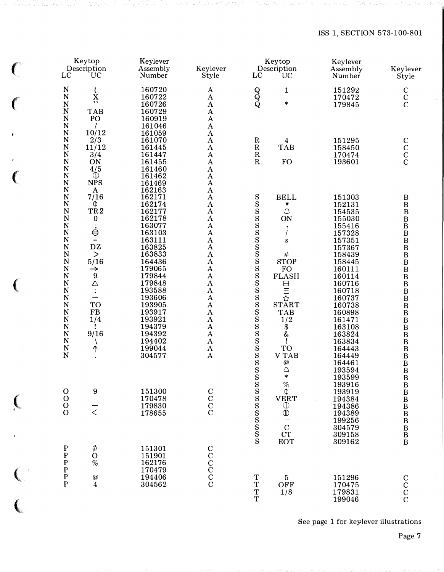## ISS 1, SECTION 573-100-801

| LC                                                                                                                                                                                                                                                                                                                            | Keytop<br>Description<br><b>UC</b>                                                                                                                                                                                                                | Keylever<br>Assembly<br>Number                                                                                                                                                                                                                         | Keylever<br>Style                                                                                                                                                                                                                                                                                                                                                                                                                                                                                                                | LC                                                 | Keytop<br>Description<br>UC                                                                                                                                                                               | Keylever<br>Assembly<br>Number                                                                                                                                                                                           | Keylever<br>Style                                                                                                                                                                                                                                                                                                                                 |
|-------------------------------------------------------------------------------------------------------------------------------------------------------------------------------------------------------------------------------------------------------------------------------------------------------------------------------|---------------------------------------------------------------------------------------------------------------------------------------------------------------------------------------------------------------------------------------------------|--------------------------------------------------------------------------------------------------------------------------------------------------------------------------------------------------------------------------------------------------------|----------------------------------------------------------------------------------------------------------------------------------------------------------------------------------------------------------------------------------------------------------------------------------------------------------------------------------------------------------------------------------------------------------------------------------------------------------------------------------------------------------------------------------|----------------------------------------------------|-----------------------------------------------------------------------------------------------------------------------------------------------------------------------------------------------------------|--------------------------------------------------------------------------------------------------------------------------------------------------------------------------------------------------------------------------|---------------------------------------------------------------------------------------------------------------------------------------------------------------------------------------------------------------------------------------------------------------------------------------------------------------------------------------------------|
| $\mathbf N$<br>$\mathbf N$<br>$\overline{\mathsf{N}}$<br>$\overline{\mathsf{N}}$<br>$\mathbf N$<br>$\overline{\mathsf{N}}$                                                                                                                                                                                                    | $\mathbf{x}^{\prime}$<br>$, \,$<br><b>TAB</b><br>PO                                                                                                                                                                                               | 160720<br>160722<br>160726<br>160729<br>160919<br>161046                                                                                                                                                                                               | A<br>$\boldsymbol{\rm{A}}$<br>$\mathbf A$<br>$\mathbf{A}$<br>$\mathbf A$<br>$\boldsymbol{\mathrm{A}}$                                                                                                                                                                                                                                                                                                                                                                                                                            | $Q$ $Q$                                            | 1<br>$\ast$                                                                                                                                                                                               | 151292<br>170472<br>179845                                                                                                                                                                                               | $\mathbf C$<br>$\overline{\text{c}}$                                                                                                                                                                                                                                                                                                              |
| $\mathbf N$<br>$\mathbf N$<br>$\mathbf N$<br>$\mathbf N$<br>$\mathbf N$<br>$\overline{\mathsf{N}}$<br>$\mathbf N$                                                                                                                                                                                                             | 10/12<br>2/3<br>11/12<br>3/4<br>ON<br>4/5<br>$\mathbb O$                                                                                                                                                                                          | 161059<br>161070<br>161445<br>161447<br>161455<br>161460                                                                                                                                                                                               | $\mathbf{A}$<br>$\boldsymbol{\mathrm{A}}$<br>$\boldsymbol{\mathrm{A}}$<br>$\boldsymbol{\rm{A}}$<br>$\boldsymbol{\mathrm{A}}$<br>$\boldsymbol{\rm{A}}$                                                                                                                                                                                                                                                                                                                                                                            | $\mathbf R$<br>${\bf R}$<br>${\bf R}$<br>${\bf R}$ | $\overline{\mathbf{4}}$<br><b>TAB</b><br><b>FO</b>                                                                                                                                                        | 151295<br>158450<br>170474<br>193601                                                                                                                                                                                     | $\rm{C} \, \rm{C} \, \rm{C} \, \rm{C}$                                                                                                                                                                                                                                                                                                            |
| $\mathbf N$<br>$\mathbf N$<br>$\mathbf N$<br>$\mathbf N$<br>$\overline{\mathsf{N}}$<br>N<br>N<br>$\mathbf N$<br>$\mathbf N$<br>$\overline{\mathsf{N}}$<br>$\mathbf N$<br>N<br>$\mathbf N$<br>$\mathbf N$<br>N<br>$\overline{\mathsf{N}}$<br>$\mathbf N$<br>$\mathbf N$<br>$\mathbf N$<br>$\mathbf N$<br>N<br>N<br>$\mathbf N$ | <b>NPS</b><br>$\mathbf A$<br>7/16<br>¢<br>TR <sub>2</sub><br>$\bf{0}$<br>$\dot{\ominus}$<br>$=$<br>DZ<br>$\geq$<br>5/16<br>$\rightarrow$<br>9<br>$\triangle$<br>$\ddot{\cdot}$<br>$\overline{\phantom{0}}$<br><b>TO</b><br>FB<br>1/4<br>9/16<br>↑ | 161462<br>161469<br>162163<br>162171<br>162174<br>162177<br>162178<br>163077<br>163103<br>163111<br>163825<br>163833<br>164436<br>179065<br>179844<br>179848<br>193588<br>193606<br>193905<br>193917<br>193921<br>194379<br>194392<br>194402<br>199044 | $\boldsymbol{\mathrm{A}}$<br>$\boldsymbol{\mathrm{A}}$<br>$\boldsymbol{\rm{A}}$<br>$\boldsymbol{\mathrm{A}}$<br>$\boldsymbol{\mathrm{A}}$<br>$\boldsymbol{\rm{A}}$<br>$\mathbf{A}$<br>$\boldsymbol{\rm{A}}$<br>$\mathbf{A}$<br>$\mathbf A$<br>$\mathbf{A}$<br>$\boldsymbol{\mathrm{A}}$<br>$\boldsymbol{\mathrm{A}}$<br>$\mathbf A$<br>$\mathbf{A}$<br>$\boldsymbol{\rm{A}}$<br>$\mathbf A$<br>$\mathbf{A}$<br>$\boldsymbol{\rm{A}}$<br>$\mathbf{A}$<br>$\mathbf A$<br>$\mathbf A$<br>$\mathbf{A}$<br>$\mathbf A$<br>$\mathbf A$ | $rac{S}{S}$                                        | <b>BELL</b><br>▼<br>$\mathcal{Q}$<br>ON<br>$\blacktriangleright$<br>S<br>$\#$<br><b>STOP</b><br><b>FO</b><br><b>FLASH</b><br>日にな<br><b>START</b><br><b>TAB</b><br>1/2<br>\$<br>$\alpha$<br>Ţ<br><b>TO</b> | 151303<br>152131<br>154535<br>155030<br>155416<br>157328<br>157351<br>157367<br>158439<br>158445<br>160111<br>160114<br>160716<br>160718<br>160737<br>160738<br>160898<br>161471<br>163108<br>163824<br>163834<br>164443 | B<br>$\, {\bf B}$<br>$\, {\bf B}$<br>$\, {\bf B}$<br>$\, {\bf B}$<br>$\, {\bf B}$<br>$\, {\bf B}$<br>$\, {\bf B}$<br>$\, {\bf B}$<br>$\, {\bf B}$<br>$\, {\bf B}$<br>$\, {\bf B}$<br>$\, {\bf B}$<br>$\, {\bf B}$<br>$\, {\bf B}$<br>$\, {\bf B}$<br>$\, {\bf B}$<br>$\, {\bf B}$<br>$\, {\bf B}$<br>$\, {\bf B}$<br>$\, {\bf B}$<br>$\, {\bf B}$ |
| $\frac{\text{N}}{\text{N}}$<br>$\begin{smallmatrix}0\0\0\0\end{smallmatrix}$                                                                                                                                                                                                                                                  | $\boldsymbol{9}$<br>$\overline{\overline{<}}$                                                                                                                                                                                                     | 304577<br>151300<br>170478<br>179830<br>178655                                                                                                                                                                                                         | $\bf A$<br>$\rm{C}^{\rm C}_{\rm C}$                                                                                                                                                                                                                                                                                                                                                                                                                                                                                              | S<br>S                                             | <b>VTAB</b><br>$^{\copyright}$<br>$\triangle$<br>$\ast$<br>$\begin{array}{c}\n% \\ \varphi \\ \downarrow\n\end{array}$<br>VERT<br>$\bigoplus$<br>$\frac{C}{C}$<br>EOT                                     | 164449<br>164461<br>193594<br>193599<br>193916<br>193919<br>194384<br>194386<br>194389<br>199256<br>304579<br>309158                                                                                                     | $\, {\bf B}$<br>$\, {\bf B}$<br>$\, {\bf B}$<br>B<br>B<br>B<br>B<br>B<br>B<br>B<br>$\frac{B}{B}$<br>$\overline{B}$<br>B                                                                                                                                                                                                                           |
| P P P P P P                                                                                                                                                                                                                                                                                                                   | Ø<br>$\mathbf O$<br>%<br>$^\text{\textregistered}_4$                                                                                                                                                                                              | 151301<br>151901<br>162176<br>170479<br>194406<br>304562                                                                                                                                                                                               | $C$<br>$C$<br>$C$<br>$C$                                                                                                                                                                                                                                                                                                                                                                                                                                                                                                         | $T$<br>T<br>T                                      | $\frac{5}{\text{OFF}}$<br>1/8                                                                                                                                                                             | 309162<br>151296<br>170475<br>179831<br>199046                                                                                                                                                                           | $\rm \frac{C}{C}$                                                                                                                                                                                                                                                                                                                                 |

 $\big($ 

 $\big($ 

€

 $\left($ 

 $\overline{\mathbb{C}}$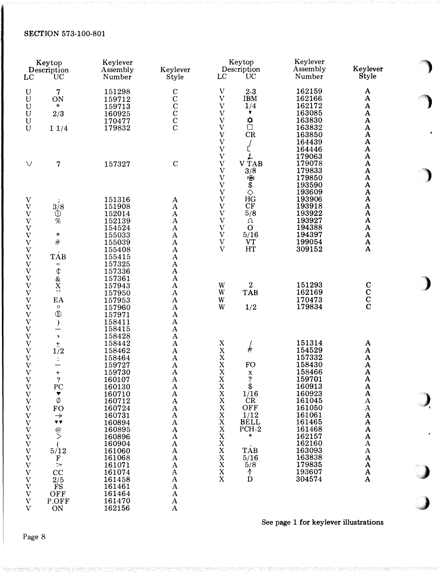| Keytop<br>Description<br>LC<br><b>UC</b>               |                                                                 | Keylever<br>Assembly<br>Number | Keylever<br>Style          | Keytop<br>Description<br>UC<br>LC             | Keylever<br>Assembly<br>Number | Keylever<br>Style                                  |
|--------------------------------------------------------|-----------------------------------------------------------------|--------------------------------|----------------------------|-----------------------------------------------|--------------------------------|----------------------------------------------------|
|                                                        |                                                                 |                                |                            |                                               |                                |                                                    |
| ${\bf U}$                                              | 7                                                               | 151298                         | $\mathbf C$                | $\boldsymbol{\mathrm{V}}$<br>$2-3$            | 162159                         | A                                                  |
| $\mathbf U$                                            | ON                                                              | 159712                         |                            | $\mathbf V$<br><b>IBM</b>                     | 162166                         | $\boldsymbol{\rm{A}}$                              |
| U                                                      | $\ast$                                                          | 159713                         |                            | $\boldsymbol{\mathrm{V}}$<br>1/4              | 162172                         | $\mathbf A$                                        |
| $\mathbf U$                                            | 2/3                                                             | 160925                         |                            | $\ensuremath{\mathbf{V}}$<br>▼                | 163085                         | $\pmb{\mathrm{A}}$                                 |
| $\mathbf U$                                            |                                                                 | 170477                         | $\rm{C}_{C}^{\rm{C}}$      | ₿<br>□<br>$\rm V$                             | 163830                         | $\boldsymbol{\rm{A}}$                              |
| $\mathbf U$                                            | 11/4                                                            | 179832                         |                            | $\rm V$                                       | 163832                         | $\boldsymbol{\rm{A}}$                              |
|                                                        |                                                                 |                                |                            | $\rm V$<br>CR                                 | 163850                         | $\mathbf A$                                        |
|                                                        |                                                                 |                                |                            | $\rm V$                                       | 164439                         | $\pmb{\mathrm{A}}$                                 |
|                                                        |                                                                 |                                |                            | $\boldsymbol{\mathrm{V}}$                     | 164446                         | $\pmb{\mathrm{A}}$                                 |
|                                                        |                                                                 |                                |                            | Ł<br>$\ensuremath{\mathbf{V}}$<br><b>VTAB</b> | 179063                         | $\pmb{\mathrm{A}}$                                 |
| $\vee$                                                 | 7                                                               | 157327                         | $\mathbf C$                | $\rm V$<br>$\boldsymbol{\mathrm{V}}$          | 179078<br>179833               | $\pmb{\mathrm{A}}$<br>$\boldsymbol{\mathsf{A}}$    |
|                                                        |                                                                 |                                |                            | 3/8<br>$\boldsymbol{\mathrm{V}}$<br>咯         | 179850                         | $\boldsymbol{\mathsf{A}}$                          |
|                                                        |                                                                 |                                |                            | $\bar{\$}$<br>$\rm V$                         | 193590                         | $\pmb{\mathrm{A}}$                                 |
|                                                        |                                                                 |                                |                            | $\overline{V}$<br>$\Diamond$                  | 193609                         | $\mathbf A$                                        |
| $\mathbf V$                                            |                                                                 | 151316                         | $\mathbf A$                | HG<br>$\mathbf V$                             | 193906                         | $\mathbf A$                                        |
| $\ensuremath{\mathbf{V}}$                              | 3/8                                                             | 151908                         | $\mathbf A$                | $\rm V$<br>CF                                 | 193918                         | $\boldsymbol{\rm{A}}$                              |
| $\ensuremath{\mathbf{V}}$                              | $^\circledR$                                                    | 152014                         | $\mathbf A$                | $\boldsymbol{\mathrm{V}}$<br>5/8              | 193922                         | $\boldsymbol{\mathsf{A}}$                          |
| $\ensuremath{\text{V}}$                                | %                                                               | 152139                         | $\mathbf A$                | $\overline{V}$<br>Ω                           | 193927                         | $\boldsymbol{\rm{A}}$                              |
| $\ensuremath{\mathbf{V}}$                              |                                                                 | 154524                         | $\mathbf{A}$               | $\ensuremath{\mathbf{V}}$<br>$\mathbf{O}$     | 194388                         | $\boldsymbol{\mathrm{A}}$                          |
| $\ensuremath{\mathbf{V}}$                              | $\ast$                                                          | 155033                         | $\mathbf A$                | $\boldsymbol{\mathrm{V}}$<br>5/16             | 194397                         | $\boldsymbol{\mathsf{A}}$                          |
| $\ensuremath{\mathbf{V}}$                              | $\#$                                                            | 155039                         | $\mathbf A$                | $\boldsymbol{\mathrm{V}}$<br><b>VT</b>        | 199054                         | $\mathbf A$                                        |
| $\boldsymbol{\mathrm{V}}$                              |                                                                 | 155408                         | $\mathbf{A}$               | $\overline{V}$<br>HT                          | 309152                         | $\boldsymbol{\mathrm{A}}$                          |
| $\ensuremath{\text{V}}$                                | <b>TAB</b>                                                      | 155415                         | $\mathbf A$                |                                               |                                |                                                    |
| $\ensuremath{\mathbf{V}}$                              | $\equiv$                                                        | 157325                         | $\mathbf A$                |                                               |                                |                                                    |
| $\ensuremath{\mathbf{V}}$                              | $\updownarrow$                                                  | 157336                         | $\mathbf A$                |                                               |                                |                                                    |
| $\mathbf V$                                            | $\alpha$                                                        | 157361                         | $\mathbf{A}$               |                                               |                                |                                                    |
| $\ensuremath{\text{V}}$                                | $\overline{\mathbf{x}}$                                         | 157943                         | $\mathbf A$                | $\boldsymbol{2}$<br>W                         | 151293                         |                                                    |
| $\ensuremath{\mathbf{V}}$                              | ,,                                                              | 157950                         | $\boldsymbol{\rm{A}}$      | <b>TAB</b><br>W                               | 162169                         | $\begin{smallmatrix}&&1\&C\&C\&C\end{smallmatrix}$ |
| $\ensuremath{\text{V}}$                                | EA                                                              | 157953                         | $\mathbf A$                | W                                             | 170473                         |                                                    |
| $\ensuremath{\text{V}}$                                | $\circ$                                                         | 157960                         | $\mathbf{A}$               | W<br>1/2                                      | 179834                         |                                                    |
| $\ensuremath{\mathbf{V}}$                              | $\mathbb{D}$                                                    | 157971                         | $\mathbf{A}$               |                                               |                                |                                                    |
| $\ensuremath{\mathbf{V}}$                              | $\mathcal{E}$                                                   | 158411                         | $\mathbf A$                |                                               |                                |                                                    |
| $\boldsymbol{\mathrm{V}}$                              |                                                                 | 158415                         | $\mathbf A$                |                                               |                                |                                                    |
| $\ensuremath{\text{V}}$                                | $\,$                                                            | 158428                         | $\mathbf A$                |                                               |                                |                                                    |
| $\mathbf V$                                            | $\pm$                                                           | 158442                         | $\mathbf{A}$               | X                                             | 151314                         | A                                                  |
| $\ensuremath{\mathbf{V}}$                              | 1/2                                                             | 158462                         | $\mathbf A$                | #<br>X                                        | 154529                         | ${\bf A}$                                          |
| $\ensuremath{\mathbf{V}}$                              | ÷                                                               | 158464                         | $\mathbf A$                | X                                             | 157332                         | $\boldsymbol{A}$                                   |
| $\ensuremath{\mathbf{V}}$                              |                                                                 | 159727                         | $\mathbf A$                | X<br><b>FO</b>                                | 158430                         | $\boldsymbol{\mathrm{A}}$                          |
| V                                                      | $\boldsymbol{+}$                                                | 159730                         | $\mathbf A$                | X<br>$\mathbf x$                              | 158466                         | $\boldsymbol{\rm{A}}$                              |
| $\ensuremath{\text{V}}$                                | ?                                                               | 160107                         | $\mathbf{A}$               | ?<br>$\mathbf X$                              | 159701                         | A                                                  |
| $\ensuremath{\text{V}}$                                | PC                                                              | 160130                         | $\mathbf A$                | $_{\rm X}^{\rm X}$<br>$\frac{$1/16}$          | 160913                         | $\mathbf{A}$                                       |
| $\ensuremath{\mathbf{V}}$                              | ▼                                                               | 160710                         | $\mathbf A$                |                                               | 160923                         | $\overline{\mathbf{A}}$                            |
| $\mathbf V$                                            | Ø                                                               | 160712                         | $\mathbf A$                | X<br>CR                                       | 161045                         | $\boldsymbol{\rm{A}}$                              |
| $\ensuremath{\mathbf{V}}$                              | <b>FO</b>                                                       | 160724                         | $\mathbf A$                | $\mathbf X$<br>OFF                            | 161050                         | $\mathbf A$                                        |
| $\mathbf V$                                            | $\rightarrow$                                                   | 160731                         | $\mathbf A$                | $\mathbf X$<br>1/12                           | 161061                         | $\boldsymbol{\mathsf{A}}$                          |
| $\ensuremath{\mathbf{V}}$                              | $\pmb{\nabla} \; \pmb{\nabla}$                                  | 160894                         | $\mathbf A$                | <b>BELL</b><br>X                              | 161465                         | $\boldsymbol{\rm{A}}$                              |
| $\ensuremath{\mathbf{V}}$                              | $\overset{\textcircled{\scriptscriptstyle{0}}}{\triangleright}$ | 160895                         | $\mathbf A$                | $\mathbf X$<br>PCH-2<br>$\ast$                | 161468                         | $\boldsymbol{\mathsf{A}}$                          |
| $\mathbf V$                                            |                                                                 | 160896                         | $\mathbf A$                | $\mathbf X$                                   | 162157<br>162160               | $\boldsymbol{\rm{A}}$                              |
| $\ensuremath{\mathbf{V}}$                              |                                                                 | 160904                         | $\mathbf A$<br>$\mathbf A$ | $_{\rm X}^{\rm X}$<br><b>TAB</b>              | 163093                         | $\boldsymbol{\rm{A}}$<br>$\boldsymbol{\rm{A}}$     |
| $\ensuremath{\mathbf{V}}$                              | 5/12                                                            | 161060<br>161068               | $\mathbf A$                | $\mathbf X$<br>5/16                           | 163838                         | $\mathbf A$                                        |
| $\ensuremath{\mathbf{V}}$<br>$\boldsymbol{\mathrm{V}}$ | $\mathbf F$<br>$\gt$                                            | 161071                         | $\mathbf A$                | $\mathbf X$<br>5/8                            | 179835                         | $\boldsymbol{\mathsf{A}}$                          |
| $\ensuremath{\mathbf{V}}$                              | CC                                                              | 161074                         | $\mathbf A$                | $\mathbf X$<br>↑                              | 193607                         | $\boldsymbol{\rm{A}}$                              |
| $\ensuremath{\mathbf{V}}$                              | 2/5                                                             | 161458                         | $\mathbf A$                | $\mathbf X$<br>D                              | 304574                         | $\mathbf A$                                        |
| $\ensuremath{\mathbf{V}}$                              | <b>FS</b>                                                       | 161461                         | $\mathbf A$                |                                               |                                |                                                    |
| $\ensuremath{\mathbf{V}}$                              | OFF                                                             | 161464                         | $\mathbf A$                |                                               |                                |                                                    |
| $\mathbf V$                                            | P.OFF                                                           | 161470                         | A                          |                                               |                                |                                                    |
| $\mathbf{V}$                                           | ON                                                              | 162156                         | $\mathbf A$                |                                               |                                |                                                    |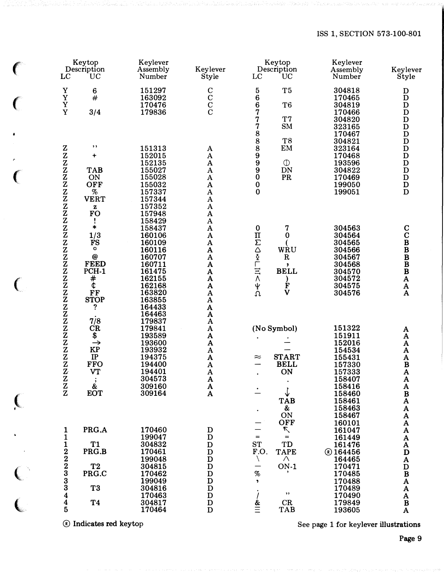# ISS 1, SECTION 573-100-801

|                            | Keytop<br>Description    | Keylever<br>Assembly | Keylever                                    | Keytop<br>Description                                                   | Keylever<br>Assembly     | Keylever                                     |
|----------------------------|--------------------------|----------------------|---------------------------------------------|-------------------------------------------------------------------------|--------------------------|----------------------------------------------|
| LC                         | UC                       | Number               | Style                                       | LC<br>UC                                                                | Number                   | Style                                        |
| $\mathbf Y$<br>Y           | $\bf 6$<br>#             | 151297<br>163092     | $\rm{c}^{\rm{c}}_{\rm{c}}$                  | 5<br>T <sub>5</sub><br>$\ddot{\mathbf{6}}$                              | 304818<br>170465         | D<br>$\mathbf D$                             |
| Y                          |                          | 170476               |                                             | 6<br>T <sub>6</sub>                                                     | 304819                   | $\mathbf D$                                  |
| Y                          | 3/4                      | 179836               |                                             | 7<br>7<br>T7                                                            | 170466<br>304820         | $\mathbf D$<br>$\mathbf D$                   |
|                            |                          |                      |                                             | SM                                                                      | 323165                   | $\mathbf D$                                  |
|                            |                          |                      |                                             | $\begin{array}{c} 78 \\ 88 \\ 8 \end{array}$<br>T <sub>8</sub>          | 170467<br>304821         | $\mathbf D$<br>$\mathbf D$                   |
| Z                          | ,,                       | 151313               | A                                           | EM                                                                      | 323164                   | $\mathbf D$                                  |
| $\frac{z}{z}$              | $\ddot{}$                | 152015<br>152135     | $\mathbf{A}$<br>$\mathbf A$                 | 9<br>$\boldsymbol{9}$<br>$\mathbb{O}$                                   | 170468<br>193596         | $\mathbf D$<br>$\mathbf D$                   |
| ${\bf Z}$                  | <b>TAB</b>               | 155027               | ${\bf A}$                                   | $\boldsymbol{9}$<br>${\rm DN}$                                          | 304822                   | $\mathbf D$                                  |
| $\bar{\text{z}}$           | ON<br><b>OFF</b>         | 155028<br>155032     | $\mathbf{A}$<br>$\mathbf{A}$                | $\bf{0}$<br>PR<br>$\pmb{0}$                                             | 170469<br>199050         | $\mathbf D$<br>$\mathbf D$                   |
| $\bar{z}$                  | $\%$                     | 157337               | $\mathbf A$                                 | $\bf{0}$                                                                | 199051                   | D                                            |
| $\mathbf z$                | <b>VERT</b><br>${\bf z}$ | 157344<br>157352     | $\mathbf{A}$<br>$\mathbf{A}$                |                                                                         |                          |                                              |
| z                          | <b>FO</b>                | 157948               | $\boldsymbol{\rm{A}}$                       |                                                                         |                          |                                              |
| Z<br>$\mathbf{Z}$          | Ţ<br>$\ast$              | 158429<br>158437     | $\mathbf A$<br>$\boldsymbol{\rm{A}}$        | $\pmb{0}$<br>7                                                          | 304563                   | $\mathbf C$                                  |
| ${\bf Z}$                  | 1/3                      | 160106               | $\mathbf{A}$                                | $\mathbf H$<br>$\bf{0}$                                                 | 304564                   | $\mathbf C$                                  |
| $\bar{z}$                  | <b>FS</b><br>o           | 160109<br>160116     | $\boldsymbol{\rm{A}}$<br>$\pmb{\mathrm{A}}$ | WRU                                                                     | 304565<br>304566         | $\frac{B}{B}$                                |
| $\bar{z}$                  | $\pmb{\varpi}$           | 160707               | $\mathbf{A}$                                | $\mathbf R$                                                             | 304567                   |                                              |
| $\overline{\mathbf{z}}$    | <b>FEED</b><br>PCH-1     | 160711<br>161475     | A<br>$\mathbf A$                            | <b>NADUITS</b><br>$\overline{\phantom{a}}$<br><b>BELL</b>               | 304568<br>304570         | $\mathbf{B}$                                 |
| Z                          | #                        | 162155               | $\boldsymbol{\mathsf{A}}$                   |                                                                         | 304572                   | $\boldsymbol{\mathsf{A}}$                    |
| $\bar{z}$<br>$\mathbf z$   | Ö<br><b>FF</b>           | 162168<br>163820     | $\mathbf{A}$<br>$\mathbf{A}$                | F<br>ψ<br>Ω<br>$\overline{\mathsf{V}}$                                  | 304575<br>304576         | A<br>${\bf A}$                               |
| $\bar{z}$                  | <b>STOP</b>              | 163855               | $\mathbf A$                                 |                                                                         |                          |                                              |
| $\bar{z}$                  | ?                        | 164433<br>164463     | $\pmb{\mathrm{A}}$<br>$\mathbf{A}$          |                                                                         |                          |                                              |
| $\bar{z}$                  | 7/8<br>CR                | 179837<br>179841     | $\mathbf{A}$<br>$\boldsymbol{\rm{A}}$       |                                                                         | 151322                   |                                              |
| $\bar{z}$                  | \$                       | 193589               | $\boldsymbol{\mathsf{A}}$                   | (No Symbol)                                                             | 151911                   | A<br>$\boldsymbol{\mathsf{A}}$               |
| $\mathbf z$<br>$\mathbf z$ | $\rightarrow$<br>KP      | 193600<br>193932     | $\boldsymbol{\mathsf{A}}$<br>A              |                                                                         | 152016<br>154534         | $\mathbf A$                                  |
| $\mathbf{Z}$               | $\rm IP$                 | 194375               | $\boldsymbol{\mathsf{A}}$                   | <b>START</b><br>≈                                                       | 155431                   | A<br>A                                       |
| ${\bf Z}$<br>$\mathbf{z}$  | <b>FFO</b><br>VT         | 194400<br>194401     | $\mathbf A$<br>$\boldsymbol{\rm{A}}$        | <b>BELL</b><br>ON                                                       | 157330<br>157333         | $\, {\bf B}$<br>A                            |
| $\mathbf{Z}$               |                          | 304573               | A                                           | $\bullet$<br>$\bullet$                                                  | 158407                   | A                                            |
| Z<br>$\mathbf{Z}$          | &<br>EOT                 | 309160<br>309164     | $\mathbf{A}$                                | $\dot{=}$<br>↓                                                          | 158416<br>158460         | $\mathbf{A}$<br>$\mathbf{B}$<br>$\mathbf{A}$ |
|                            |                          |                      |                                             | <b>TAB</b>                                                              | 158461                   |                                              |
|                            |                          |                      |                                             | &<br>$\bullet$<br>ON                                                    | 158463<br>158467         | $\mathbf A$<br>A                             |
|                            |                          |                      |                                             | <b>OFF</b>                                                              | 160101                   | A                                            |
| 1<br>1                     | PRG.A                    | 170460<br>199047     | D<br>D                                      | Ľ<br>$\qquad \qquad =$<br>$=$                                           | 161047<br>161449         | A<br>A                                       |
| $\mathbf{1}$               | <b>T1</b>                | 304832               | $\mathbf D$                                 | <b>ST</b><br>TD                                                         | 161476                   | A                                            |
| $22233$<br>$333$           | PRG.B                    | 170461<br>199048     | $\mathbf D$<br>$\mathbf D$                  | F.O.<br><b>TAPE</b><br>Λ<br>Λ                                           | <b>®164456</b><br>164465 | D<br>A                                       |
|                            | T <sub>2</sub>           | 304815               | $\mathbf D$                                 | $ON-1$<br>—                                                             | 170471                   | ${\bf D}$                                    |
|                            | PRG.C                    | 170462<br>199049     | $\overline{D}$<br>$\mathbf D$               | $% \mathcal{P}_{\mathrm{C}}\left( \mathcal{P}_{\mathrm{C}}\right)$<br>, | 170485<br>170488         | $\, {\bf B}$<br>${\bf A}$                    |
|                            | T <sub>3</sub>           | 304816               | $\mathbf D$                                 | $, \,$                                                                  | 170489                   | A                                            |
| $\boldsymbol{4}$           | T <sub>4</sub>           | 170463<br>304817     | $\mathbf D$<br>$\mathbf D$                  | CR                                                                      | 170490<br>179849         | ${\bf A}$<br>$\, {\bf B}$                    |
| $\frac{4}{5}$              |                          | 170464               | $\mathbf D$                                 | $\frac{\&}{\equiv}$<br><b>TAB</b>                                       | 193605                   | ${\bf A}$                                    |

® Indicates red keytop

 $\overline{\mathcal{L}}$ 

 $\big($ 

 $\big($ 

 $\left($ 

 $\sim$   $\sim$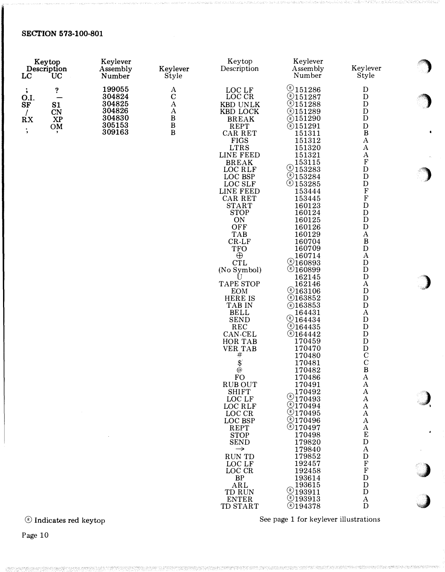| Keytop<br>Description<br><b>LC</b><br><b>UC</b> |    | Keylever<br>Assembly<br>Number | Keylever<br>Style  |                                        | Keylever<br>Assembly<br>Number | Keylever<br>Style                      |  |
|-------------------------------------------------|----|--------------------------------|--------------------|----------------------------------------|--------------------------------|----------------------------------------|--|
| $\ddot{\phantom{a}}$                            | ?  | 199055                         | A                  | LOC LF                                 | @151286                        | D                                      |  |
| O.I.                                            |    | 304824                         | $\mathbf C$        | LOC CR                                 | $Q$ 151287                     | D                                      |  |
| SF                                              | S1 | 304825                         | $\bf{A}$           | <b>KBD UNLK</b>                        | @151288                        | $\mathbf D$                            |  |
|                                                 | CN | 304826                         | $\boldsymbol{A}$   | KBD LOCK                               | <b>@151289</b>                 | ${\rm D}$                              |  |
| $\overline{R}X$                                 | XP | 304830                         | $_{\rm B}^{\rm B}$ | <b>BREAK</b>                           | <b>@151290</b>                 | D                                      |  |
| $\ddot{\phantom{1}}$                            | OM | 305153                         |                    | <b>REPT</b>                            | @151291                        | ${\rm D}$                              |  |
|                                                 |    | 309163                         | $\, {\bf B}$       | CAR RET                                | 151311                         | $\, {\bf B}$                           |  |
|                                                 |    |                                |                    | <b>FIGS</b><br><b>LTRS</b>             | 151312<br>151320               | A<br>A                                 |  |
|                                                 |    |                                |                    | LINE FEED                              | 151321                         | $\bf{A}$                               |  |
|                                                 |    |                                |                    | <b>BREAK</b>                           | 153115                         | ${\bf F}$                              |  |
|                                                 |    |                                |                    | LOC RLF                                | 9153283                        | ${\bf D}$                              |  |
|                                                 |    |                                |                    | LOC BSP                                | @153284                        | ${\bf D}$                              |  |
|                                                 |    |                                |                    | LOC SLF                                | @153285                        | ${\bf D}$                              |  |
|                                                 |    |                                |                    | LINE FEED<br>CAR RET                   | 153444<br>153445               | $\mathbf F$<br>${\bf F}$               |  |
|                                                 |    |                                |                    | <b>START</b>                           | 160123                         | ${\bf D}$                              |  |
|                                                 |    |                                |                    | <b>STOP</b>                            | 160124                         | ${\bf D}$                              |  |
|                                                 |    |                                |                    | ON                                     | 160125                         | $\mathbf D$                            |  |
|                                                 |    |                                |                    | OFF                                    | 160126                         | ${\rm D}$                              |  |
|                                                 |    |                                |                    | <b>TAB</b>                             | 160129                         | $\boldsymbol{A}$<br>$\, {\bf B}$       |  |
|                                                 |    |                                |                    | $CR-LF$<br><b>TFO</b>                  | 160704<br>160709               | ${\rm D}$                              |  |
|                                                 |    |                                |                    | $\oplus$                               | 160714                         | $\mathbf A$                            |  |
|                                                 |    |                                |                    | <b>CTL</b>                             | \$160893                       | D                                      |  |
|                                                 |    |                                |                    | (No Symbol)                            | @160899                        | ${\rm D}$                              |  |
|                                                 |    |                                |                    | U<br><b>TAPE STOP</b>                  | 162145<br>162146               | ${\bf D}$<br>$\mathbf A$               |  |
|                                                 |    |                                |                    | <b>EOM</b>                             | @163106                        | $\mathbf D$                            |  |
|                                                 |    |                                |                    | <b>HERE IS</b>                         | &163852                        | $\mathbf D$                            |  |
|                                                 |    |                                |                    | TAB IN                                 | <b><i>®163853</i></b>          | ${\bf D}$                              |  |
|                                                 |    |                                |                    | <b>BELL</b>                            | 164431<br>\$164434             | $\mathbf A$<br>D                       |  |
|                                                 |    |                                |                    | <b>SEND</b><br>REC                     | @164435                        | ${\bf D}$                              |  |
|                                                 |    |                                |                    | CAN-CEL                                | @164442                        | ${\bf D}$                              |  |
|                                                 |    |                                |                    | HOR TAB                                | 170459                         | ${\bf D}$                              |  |
|                                                 |    |                                |                    | <b>VER TAB</b>                         | 170470                         | ${\rm D}$                              |  |
|                                                 |    |                                |                    | #                                      | 170480<br>170481               | $\mathbf C$<br>$\mathbf C$             |  |
|                                                 |    |                                |                    | $\begin{bmatrix} 3 \\ 0 \end{bmatrix}$ | 170482                         | $\, {\bf B}$                           |  |
|                                                 |    |                                |                    | ${\rm FO}$                             | 170486                         | $\bf A$                                |  |
|                                                 |    |                                |                    | <b>RUB OUT</b>                         | 170491                         | $\boldsymbol{A}$                       |  |
|                                                 |    |                                |                    | <b>SHIFT</b><br>LOC LF                 | 170492<br>$\sqrt[6]{170493}$   | $\mathbf{A}$<br>$\mathbf{A}$           |  |
|                                                 |    |                                |                    | LOC RLF                                | $Q$ 170494                     | A                                      |  |
|                                                 |    |                                |                    | LOC CR                                 | \$170495                       | $\bf{A}$                               |  |
|                                                 |    |                                |                    | LOC BSP                                | @170496                        | A                                      |  |
|                                                 |    |                                |                    | <b>REPT</b>                            | @170497                        | A                                      |  |
|                                                 |    |                                |                    | <b>STOP</b><br><b>SEND</b>             | 170498<br>179820               | ${\bf E}$<br>$\mathbf D$               |  |
|                                                 |    |                                |                    | $\rightarrow$                          | 179840                         | A                                      |  |
|                                                 |    |                                |                    | <b>RUN TD</b>                          | 179852                         | D                                      |  |
|                                                 |    |                                |                    | LOC LF                                 | 192457                         | $\mathbf F$                            |  |
|                                                 |    |                                |                    | LOC CR                                 | 192458                         | $\boldsymbol{\mathrm{F}}$<br>${\bf D}$ |  |
|                                                 |    |                                |                    | <b>BP</b><br>ARL                       | 193614<br>193615               | ${\bf D}$                              |  |
|                                                 |    |                                |                    | TD RUN                                 | 93911                          | ${\bf D}$                              |  |
|                                                 |    |                                |                    | <b>ENTER</b>                           | $Q$ 193913                     | $\mathbf{A}$                           |  |
|                                                 |    |                                |                    | TD START                               | @194378                        | D                                      |  |

 $\circledR$  Indicates red keytop

See page 1 for keylever illustrations

<sup>o</sup>

' "� ··�

 $\big)$ 

 $\hat{\textbf{a}}$ 

)

,,,,)

 $\bullet$ 

·�l

 $\overline{\phantom{a}}$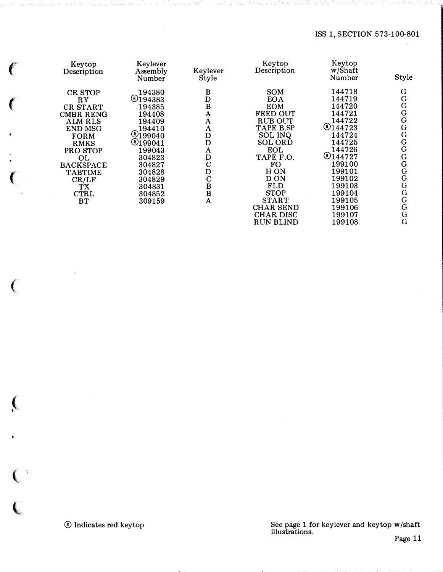| Keytop<br>Description                                                                                                                                                                                              | Keylever<br>Assembly<br>Number                                                                                                                                                 | Keylever<br>Style                                                                                                             | Keytop<br>Description                                                                                                                                                                                                                   | Keytop<br>w/Shaft<br>Number                                                                                                                                              | Style                                                                                          |
|--------------------------------------------------------------------------------------------------------------------------------------------------------------------------------------------------------------------|--------------------------------------------------------------------------------------------------------------------------------------------------------------------------------|-------------------------------------------------------------------------------------------------------------------------------|-----------------------------------------------------------------------------------------------------------------------------------------------------------------------------------------------------------------------------------------|--------------------------------------------------------------------------------------------------------------------------------------------------------------------------|------------------------------------------------------------------------------------------------|
| <b>CR STOP</b><br>RY<br><b>CR START</b><br>CMBR RENG<br><b>ALM RLS</b><br><b>END MSG</b><br><b>FORM</b><br><b>RMKS</b><br>PRO STOP<br>OL<br><b>BACKSPACE</b><br><b>TABTIME</b><br>CR/LF<br>ТX<br><b>CTRL</b><br>BT | 194380<br>@194383<br>194385<br>194408<br>194409<br>194410<br>$\mathcal{O}_{199040}$<br>@199041<br>199043<br>304823<br>304827<br>304828<br>304829<br>304831<br>304852<br>309159 | B<br>D<br>B<br>A<br>A<br>$\mathbf{A}$<br>D<br>D<br>A<br>D<br>$\mathbf C$<br>D<br>$\mathbf C$<br>B<br>$\bf{B}$<br>$\mathbf{A}$ | SOM<br><b>EOA</b><br><b>EOM</b><br><b>FEED OUT</b><br><b>RUB OUT</b><br>TAPE B.SP<br><b>SOL INQ</b><br><b>SOL ORD</b><br><b>EOL</b><br>TAPE F.O.<br>FO<br>H ON<br>D ON<br><b>FLD</b><br><b>STOP</b><br><b>START</b><br><b>CHAR SEND</b> | 144718<br>144719<br>144720<br>144721<br>144722<br>@144723<br>144724<br>144725<br>144726<br>@144727<br>199100<br>199101<br>199102<br>199103<br>199104<br>199105<br>199106 | G<br>G<br>G<br>G<br>G<br>G<br>G<br>G<br>G<br>G<br>G<br>G<br>G<br>$\overline{G}$<br>G<br>G<br>G |
|                                                                                                                                                                                                                    |                                                                                                                                                                                |                                                                                                                               | <b>CHAR DISC</b><br><b>RUN BLIND</b>                                                                                                                                                                                                    | 199107<br>199108                                                                                                                                                         | G<br>G                                                                                         |

 $\epsilon$ 

 $\epsilon$ 

 $\overline{(\ }$ 

 $\epsilon$ 

 $\big($ 

 $\overline{\mathbb{C}}$ 

 $\overline{\mathbb{C}}$ 

See page 1 for keylever and keytop w/shaft illustrations.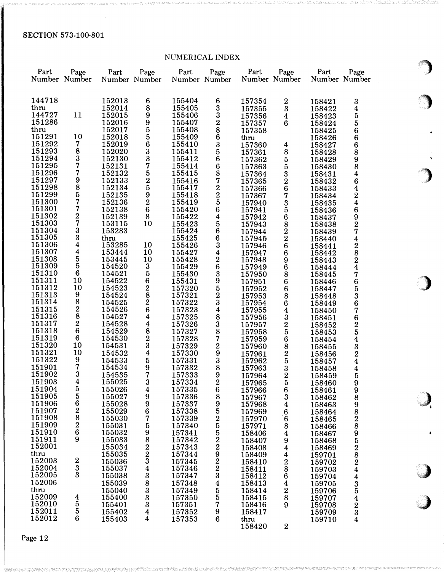## NUMERICAL INDEX

|                  |                                       |                  |                                                    | <b>HOMERIOUT THART</b> |                             |                  |                         |                  |                                          |          |
|------------------|---------------------------------------|------------------|----------------------------------------------------|------------------------|-----------------------------|------------------|-------------------------|------------------|------------------------------------------|----------|
| Part             | Page                                  | Part             | Page                                               | Part                   | Page                        | Part             | Page                    | Part             | Page                                     |          |
|                  | Number Number                         |                  | Number Number                                      | Number Number          |                             |                  | Number Number           |                  | Number Number                            |          |
|                  |                                       |                  |                                                    |                        |                             |                  |                         |                  |                                          |          |
| 144718           |                                       | 152013           | 6                                                  | 155404                 | 6                           | 157354           | $\boldsymbol{2}$        | 158421           | 3                                        |          |
| thru             |                                       | 152014           | 8                                                  | 155405                 | $\boldsymbol{3}$            | 157355           | $\boldsymbol{3}$        | 158422           | 4                                        |          |
| 144727<br>151286 | 11                                    | 152015           | 9                                                  | 155406                 | $\bf{3}$                    | 157356           | $\boldsymbol{4}$        | 158423           | 5                                        |          |
| thru             |                                       | 152016<br>152017 | $\boldsymbol{9}$                                   | 155407<br>155408       | $\boldsymbol{2}$<br>8       | 157357           | 6                       | 158424           | 5                                        |          |
| 151291           | 10                                    | 152018           | 5<br>5                                             | 155409                 | 6                           | 157358<br>thru   |                         | 158425<br>158426 | 6<br>6                                   |          |
| 151292           | 7                                     | 152019           | $\bf 6$                                            | 155410                 | $\bf{3}$                    | 157360           | $\boldsymbol{4}$        | 158427           | 6                                        |          |
| 151293           | $\bf 8$                               | 152020           | 3                                                  | 155411                 | 5                           | 157361           | 8                       | 158428           | 8                                        |          |
| 151294           | $\boldsymbol{3}$                      | 152130           | $\frac{3}{7}$                                      | 155412                 | 6                           | 157362           | $\overline{\mathbf{5}}$ | 158429           | 9                                        | $\gamma$ |
| 151295           | 7                                     | 152131           |                                                    | 155414                 | 6                           | 157363           | 5                       | 158430           | 8                                        |          |
| 151296           | 7                                     | 152132           | 5                                                  | 155415                 | $\, 8$                      | 157364           | $\bf{3}$                | 158431           | 4                                        |          |
| 151297           | 9                                     | 152133           | $\frac{2}{5}$                                      | 155416                 | 7                           | 157365           | $\boldsymbol{2}$        | 158432           | 6                                        |          |
| 151298<br>151299 | 8<br>5                                | 152134<br>152135 | 9                                                  | 155417<br>155418       | $\boldsymbol{2}$<br>$\bf 2$ | 157366           | 6                       | 158433           | 4                                        |          |
| 151300           | 7                                     | 152136           | $\boldsymbol{2}$                                   | 155419                 | ${\bf 5}$                   | 157367<br>157940 | 7<br>$\bf{3}$           | 158434<br>158435 | $\frac{2}{4}$                            |          |
| 151301           | 7                                     | 152138           | $\bf 6$                                            | 155420                 | $\bf 6$                     | 157941           | ${\bf 5}$               | 158436           | 6                                        |          |
| 151302           | $\boldsymbol{2}$                      | 152139           | 8                                                  | 155422                 | 4                           | 157942           | $\bf 6$                 | 158437           |                                          |          |
| 151303           | 7                                     | 153115           | 10                                                 | 155423                 | 5                           | 157943           | 8                       | 158438           | $\frac{9}{2}$                            |          |
| 151304           | 3                                     | 153283           |                                                    | 155424                 | $\bf 6$                     | 157944           | $\frac{2}{2}$           | 158439           | 7                                        |          |
| 151305           | 3                                     | thru             |                                                    | 155425                 | 6                           | 157945           |                         | 158440           | 4                                        |          |
| 151306           | 4                                     | 153285           | 10                                                 | 155426                 | $\boldsymbol{3}$            | 157946           | $\bf 6$                 | 158441           | $\bf{2}$                                 |          |
| 151307<br>151308 | 4                                     | 153444<br>153445 | 10<br>10                                           | 155427<br>155428       | 4<br>$\boldsymbol{2}$       | 157947           | $\bf 6$                 | 158442           |                                          |          |
| 151309           | $\begin{array}{c} 5 \\ 5 \end{array}$ | 154520           | $\bf{3}$                                           | 155429                 | 6                           | 157948<br>157949 | 9<br>6                  | 158443<br>158444 | $\frac{8}{2}$                            |          |
| 151310           | $6\phantom{.}6$                       | 154521           | $\bf 5$                                            | 155430                 | $\bf{3}$                    | 157950           | 8                       | 158445           | 7                                        |          |
| 151311           | 10                                    | 154522           |                                                    | 155431                 | 9                           | 157951           | 6                       | 158446           | 6                                        |          |
| 151312           | 10                                    | 154523           | $\begin{smallmatrix} 6\ 2\ 8\ 2 \end{smallmatrix}$ | 157320                 | 5                           | 157952           | $\bf 6$                 | 158447           | 5                                        |          |
| 151313           | 9                                     | 154524           |                                                    | 157321                 | $\bf{2}$                    | 157953           | $\bf 8$                 | 158448           | 3                                        |          |
| 151314           | 8                                     | 154525           |                                                    | 157322                 | $\bf 3$                     | 157954           | 6                       | 158449           | 6                                        |          |
| 151315<br>151316 | $\boldsymbol{2}$<br>$\bf8$            | 154526           | $\bf 6$                                            | 157323                 | 4                           | 157955           | 4                       | 158450           | 7                                        |          |
| 151317           | $\boldsymbol{2}$                      | 154527<br>154528 | $\boldsymbol{4}$<br>4                              | 157325<br>157326       | $\bf 8$<br>$\boldsymbol{3}$ | 157956<br>157957 | $\bf{3}$                | 158451           | 6                                        |          |
| 151318           | $6\phantom{.0}$                       | 154529           |                                                    | 157327                 | 8                           | 157958           | $\boldsymbol{2}$<br>5   | 158452<br>158453 | $\frac{2}{5}$                            |          |
| 151319           | 6                                     | 154530           | $\begin{smallmatrix} 8\\2 \end{smallmatrix}$       | 157328                 | $\bf 7$                     | 157959           | $\bf 6$                 | 158454           | $\overline{\mathbf{4}}$                  |          |
| 151320           | 10                                    | 154531           | 3                                                  | 157329                 | 2                           | 157960           | $\bf 8$                 | 158455           |                                          |          |
| 151321           | 10                                    | 154532           | $\boldsymbol{4}$                                   | 157330                 | 9                           | 157961           | $\boldsymbol{2}$        | 158456           | $\frac{3}{2}$                            |          |
| 151322           | 9                                     | 154533           | ${\bf 5}$                                          | 157331                 | $\boldsymbol{3}$            | 157962           | ${\bf 5}$               | 158457           | 4                                        |          |
| 151901           | 7                                     | 154534           | 9                                                  | 157332                 | 8                           | 157963           | $\bf 3$                 | 158458           | 4                                        |          |
| 151902<br>151903 | 3<br>4                                | 154535           | 7                                                  | 157333                 | 9                           | 157964           | $\boldsymbol{2}$        | 158459           | 5                                        |          |
| 151904           | 5                                     | 155025<br>155026 | $\boldsymbol{3}$<br>4                              | 157334<br>157335       | $\boldsymbol{2}$<br>6       | 157965<br>157966 | 5<br>6                  | 158460<br>158461 | 9<br>9                                   |          |
| 151905           | 5                                     | 155027           | 9                                                  | 157336                 | 8                           | 157967           | 3                       | 158462           | 8                                        |          |
| 151906           | $\bf 6$                               | 155028           | $\boldsymbol{9}$                                   | 157337                 | $\boldsymbol{9}$            | 157968           | 4                       | 158463           | 9                                        |          |
| 151907           | $\boldsymbol{2}$                      | 155029           | 6                                                  | 157338                 | 5                           | 157969           | 6                       | 158464           | 8                                        |          |
| 151908           | 8                                     | 155030           | 7                                                  | 157339                 | $\bf{2}$                    | 157970           | 6                       | 158465           |                                          |          |
| 151909           | $\overline{2}$                        | 155031           | 5                                                  | 157340                 | 5                           | 157971           | 8                       | 158466           | $\begin{array}{c} 2 \ 8 \ 9 \end{array}$ |          |
| 151910           | 6<br>9                                | 155032           | 9                                                  | 157341                 | 5                           | 158406           | 4                       | 158467           |                                          |          |
| 151911<br>152001 |                                       | 155033<br>155034 | 8                                                  | 157342<br>157343       | $\boldsymbol{2}$<br>2       | 158407<br>158408 | 9                       | 158468           |                                          |          |
| thru             |                                       | 155035           |                                                    | 157344                 | 9                           | 158409           | 4<br>4                  | 158469<br>159701 |                                          |          |
| 152003           | $\boldsymbol{2}$                      | 155036           | $\frac{2}{3}$                                      | 157345                 | $\boldsymbol{2}$            | 158410           | $\boldsymbol{2}$        | 159702           |                                          |          |
| 152004           | 3                                     | 155037           | 4                                                  | 157346                 | $\frac{2}{3}$               | 158411           | 8                       | 159703           | 52824                                    |          |
| 152005           | 3                                     | 155038           | 3                                                  | 157347                 |                             | 158412           | 6                       | 159704           | $\overline{\mathbf{4}}$                  |          |
| 152006           |                                       | 155039           | 8                                                  | 157348                 | 4                           | 158413           | 4                       | 159705           | $\frac{3}{5}$                            |          |
| thru             |                                       | 155040           | 3                                                  | 157349                 | ${\bf 5}$                   | 158414           | 2                       | 159706           |                                          |          |
| 152009<br>152010 | $\boldsymbol{4}$<br>5                 | 155400<br>155401 | 3                                                  | 157350<br>157351       | $\bf{5}$<br>7               | 158415<br>158416 | 8<br>9                  | 159707           | $\overline{\mathbf{4}}$                  |          |
| 152011           | 5                                     | 155402           | 3<br>4                                             | 157352                 | 9                           | 158417           |                         | 159708<br>159709 | $\frac{2}{3}$                            |          |
| 152012           | 6                                     | 155403           | 4                                                  | 157353                 | 6                           | thru             |                         | 159710           | $\overline{\mathbf{4}}$                  |          |
|                  |                                       |                  |                                                    |                        |                             | 158420           | $\boldsymbol{2}$        |                  |                                          |          |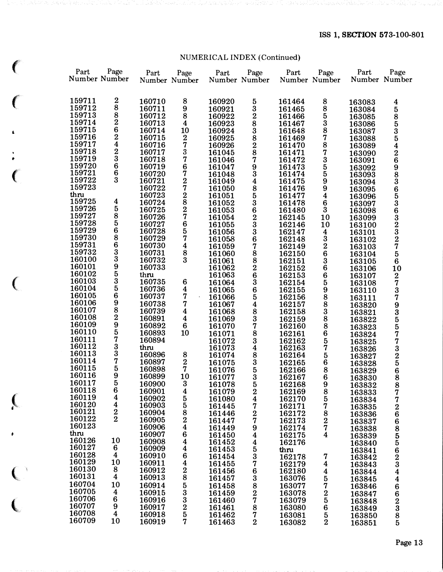# NUMERICAL INDEX (Continued)

 $\left($ 

 $\left($ 

 $\left($ 

 $\big($ 

|            |                       |                                            |                       |                                       |                  | NOMBRIOND INDEX (Committee)                            |                  |                                            |                  |                       |
|------------|-----------------------|--------------------------------------------|-----------------------|---------------------------------------|------------------|--------------------------------------------------------|------------------|--------------------------------------------|------------------|-----------------------|
| $\big($    | Part<br>Number Number | Page                                       | Part<br>Number Number | Page                                  | Part             | Page<br>Number Number                                  | Part             | Page<br>Number Number                      | Part             | Page<br>Number Number |
| $\epsilon$ | 159711                | $\bf{2}$                                   | 160710                | 8                                     | 160920           |                                                        | 161464           | 8                                          | 163083           | 4                     |
|            | 159712                | $\begin{array}{c} 8 \\ 8 \end{array}$      | 160711                | 9                                     | 160921           | $\begin{array}{c} 5 \\ 3 \end{array}$                  | 161465           | 8                                          | 163084           | ${\bf 5}$             |
|            | 159713                |                                            | 160712                | 8                                     | 160922           | $\frac{2}{8}$                                          | 161466           | $\bf 5$                                    | 163085           |                       |
|            | 159714                | $\bf{2}$                                   | 160713                | $\boldsymbol{4}$                      | 160923           |                                                        | 161467           | $\boldsymbol{3}$                           | 163086           | 8535426983653632327   |
| ś.         | 159715                | $\frac{6}{2}$                              | 160714                | 10                                    | 160924           |                                                        | 161648           | $\bf 8$                                    | 163087           |                       |
|            | 159716                |                                            | 160715                | $\bf{2}$                              | 160925           | $\begin{array}{c}\n 3 \\  8 \\  2 \\  8\n \end{array}$ | 161469           | 7                                          | 163088           |                       |
|            | 159717                |                                            | 160716                | $\frac{7}{3}$                         | 160926           |                                                        | 161470           | 8                                          | 163089           |                       |
|            | 159718                |                                            | 160717                |                                       | 161045           |                                                        | 161471           | 7                                          | 163090           |                       |
| ٠          | 159719                | $\begin{array}{c} 2 \\ 3 \\ 6 \end{array}$ | 160718                | 7                                     | 161046           | $\begin{array}{c} 7 \\ 9 \\ 3 \\ 4 \end{array}$        | 161472           | $\begin{array}{c} 3 \\ 5 \\ 9 \end{array}$ | 163091           |                       |
|            | 159720                |                                            | 160719                | $\frac{6}{7}$                         | 161047           |                                                        | 161473           |                                            | 163092           |                       |
| $\big($    | 159721                | 6<br>3                                     | 160720                |                                       | 161048           |                                                        | 161474           |                                            | 163093           |                       |
|            | 159722                |                                            | 160721                | $\frac{2}{7}$                         | 161049           |                                                        | 161475           |                                            | 163094           |                       |
|            | 159723                |                                            | 160722                |                                       | 161050           | $\begin{array}{c} 8 \\ 5 \end{array}$                  | 161476           | 9                                          | 163095           |                       |
|            | thru<br>159725        | $\boldsymbol{4}$                           | 160723                | $\frac{2}{8}$<br>$\frac{8}{7}$        | 161051           |                                                        | 161477           | $\boldsymbol{4}$                           | 163096           |                       |
|            | 159726                | 5                                          | 160724                |                                       | 161052           | $\frac{3}{6}$                                          | 161478           | $\bf 6$                                    | 163097           |                       |
|            | 159727                | 8                                          | 160725<br>160726      |                                       | 161053           |                                                        | 161480           | $\bf{3}$                                   | 163098           |                       |
|            | 159728                | ${\bf 5}$                                  | 160727                |                                       | 161054           | $\frac{2}{3}$                                          | 162145           | 10                                         | 163099           |                       |
|            | 159729                | $\bf 6$                                    | 160728                | 6<br>5                                | 161055           |                                                        | 162146<br>162147 | 10<br>$\boldsymbol{4}$                     | 163100           |                       |
|            | 159730                |                                            | 160729                | 7                                     | 161056<br>161058 | $\frac{3}{6}$                                          | 162148           | $\bf{3}$                                   | 163101           |                       |
|            | 159731                | $\begin{array}{c} 8 \\ 6 \\ 3 \end{array}$ | 160730                | 4                                     | 161059           | 7                                                      | 162149           |                                            | 163102           |                       |
|            | 159732                |                                            | 160731                |                                       | 161060           |                                                        | 162150           | $\frac{2}{6}$                              | 163103<br>163104 | 5                     |
|            | 160100                | 3                                          | 160732                | $\begin{array}{c} 8 \\ 3 \end{array}$ | 161061           |                                                        | 162151           |                                            | 163105           | $\bf 6$               |
|            | 160101                |                                            | 160733                |                                       | 161062           |                                                        | 162152           | $\frac{3}{6}$                              | 163106           | 10                    |
|            | 160102                |                                            | thru                  |                                       | 161063           | 88826                                                  | 162153           | $\bf 6$                                    | 163107           | $\bf{2}$              |
| $\big($    | 160103                | $\frac{9}{5}$                              | 160735                | $\bf 6$                               | 161064           | $\bf{3}$                                               | 162154           | 5                                          | 163108           | 7                     |
|            | 160104                | $\overline{\mathbf{5}}$                    | 160736                |                                       | 161065           | 6                                                      | 162155           | $\boldsymbol{9}$                           | 163110           |                       |
|            | 160105                | 6                                          | 160737                | $\frac{4}{7}$                         | 161066           | 5                                                      | 162156           | $\bf8$                                     | 163111           | $\frac{3}{7}$         |
|            | 160106                | $\tilde{9}$                                | 160738                | 7                                     | 161067           | 4                                                      | 162157           | $\bf8$                                     | 163820           |                       |
|            | 160107                | 8                                          | 160739                | 4                                     | 161068           |                                                        | 162158           | 3                                          | 163821           | 9<br>3<br>5           |
|            | 160108                | $\begin{array}{c} 2 \\ 9 \\ 5 \end{array}$ | 160891                | $\boldsymbol{4}$                      | 161069           | $\begin{array}{c} 8 \\ 3 \end{array}$                  | 162159           | $\bar{8}$                                  | 163822           |                       |
|            | 160109                |                                            | 160892                | $6\phantom{1}6$                       | 161070           | 7                                                      | 162160           | 8                                          | 163823           |                       |
|            | 160110                |                                            | 160893                | 10                                    | 161071           | 8                                                      | 162161           | $\bf 6$                                    | 163824           | $\frac{5}{7}$         |
|            | 160111                | 7                                          | 160894                |                                       | 161072           | $\overline{3}$                                         | 162162           | 5                                          | 163825           | 7                     |
|            | 160112                | $\frac{3}{3}$                              | thru                  |                                       | 161073           | 4                                                      | 162163           | 7                                          | 163826           |                       |
|            | 160113                |                                            | 160896                | 8                                     | 161074           | $\begin{array}{c} 8 \\ 3 \end{array}$                  | 162164           | 5                                          | 163827           | $\frac{3}{2}$ 5       |
|            | 160114                | 7                                          | 160897                | $\bf{2}$                              | 161075           |                                                        | 162165           | $\bf 6$                                    | 163828           |                       |
|            | 160115                | 5                                          | 160898                | 7                                     | 161076           | $\overline{\mathbf{5}}$                                | 162166           | 8                                          | 163829           | 6                     |
|            | 160116                | $\boldsymbol{9}$                           | 160899                | 10                                    | 161077           | $\bf{3}$                                               | 162167           | 6                                          | 163830           | 8                     |
|            | 160117<br>160118      | 5                                          | 160900                | 3                                     | 161078           | 5                                                      | 162168           | 9                                          | 163832           | 8                     |
|            | 160119                | 6                                          | 160901                | 4                                     | 161079           | 2                                                      | 162169           | 8                                          | 163833           | 7                     |
| $\big($    | 160120                | $\frac{4}{4}$                              | 160902<br>160903      | 5<br>5                                | 161080           | 4                                                      | 162170           | 5                                          | 163834           | 7                     |
|            | 160121                | $\bf{2}$                                   | 160904                |                                       | 161445           | 7                                                      | 162171           | 7                                          | 163835           | $\bf{2}$              |
|            | 160122                | $\overline{2}$                             | 160905                | $\frac{8}{2}$                         | 161446<br>161447 | $\bf{2}$<br>7                                          | 162172<br>162173 | 8<br>$\bf{2}$                              | 163836           | 6                     |
|            | 160123                |                                            | 160906                |                                       | 161449           | 9                                                      | 162174           | 7                                          | 163837           |                       |
|            | thru                  |                                            | 160907                | 6                                     | 161450           | 4                                                      | 162175           | 4                                          | 163838<br>163839 |                       |
|            | 160126                | 10                                         | 160908                | 4                                     | 161452           | 4                                                      | 162176           |                                            | 163840           |                       |
|            | 160127                | $6\phantom{1}6$                            | 160909                | 4                                     | 161453           | 5                                                      | thru             |                                            | 163841           |                       |
|            | 160128                | $\boldsymbol{4}$                           | 160910                | 6                                     | 161454           | 3                                                      | 162178           | 7                                          | 163842           |                       |
|            | 160129                | 10                                         | 160911                | 4                                     | 161455           | 7                                                      | 162179           | 4                                          | 163843           | 685562344             |
|            | 160130                | 8                                          | 160912                | $\bf{2}$                              | 161456           | 6                                                      | 162180           | 4                                          | 163844           |                       |
| $\big($    | 160131                | 4                                          | 160913                | 8                                     | 161457           | 3                                                      | 163076           | 5                                          | 163845           |                       |
|            | 160704                | 10                                         | 160914                |                                       | 161458           | 8                                                      | 163077           | 7                                          | 163846           |                       |
|            | 160705                | $\boldsymbol{4}$                           | 160915                | 5<br>3                                | 161459           | $\bf{2}$                                               | 163078           | $\bf{2}$                                   | 163847           |                       |
|            | 160706                | $6\phantom{1}6$                            | 160916                | 3                                     | 161460           | 7                                                      | 163079           | $\mathbf 5$                                | 163848           |                       |
|            | 160707                | 9                                          | 160917                | $\bf{2}$                              | 161461           | 8                                                      | 163080           | $\bf 6$                                    | 163849           | 6623                  |
|            | 160708                | $\boldsymbol{4}$                           | 160918                | 5                                     | 161462           | 7                                                      | 163081           | $\bf{5}$                                   | 163850           | $\bf8$                |
|            | 160709                | 10                                         | 160919                | 7                                     | 161463           | $\bf{2}$                                               | 163082           | $\bf{2}$                                   | 163851           | 5                     |